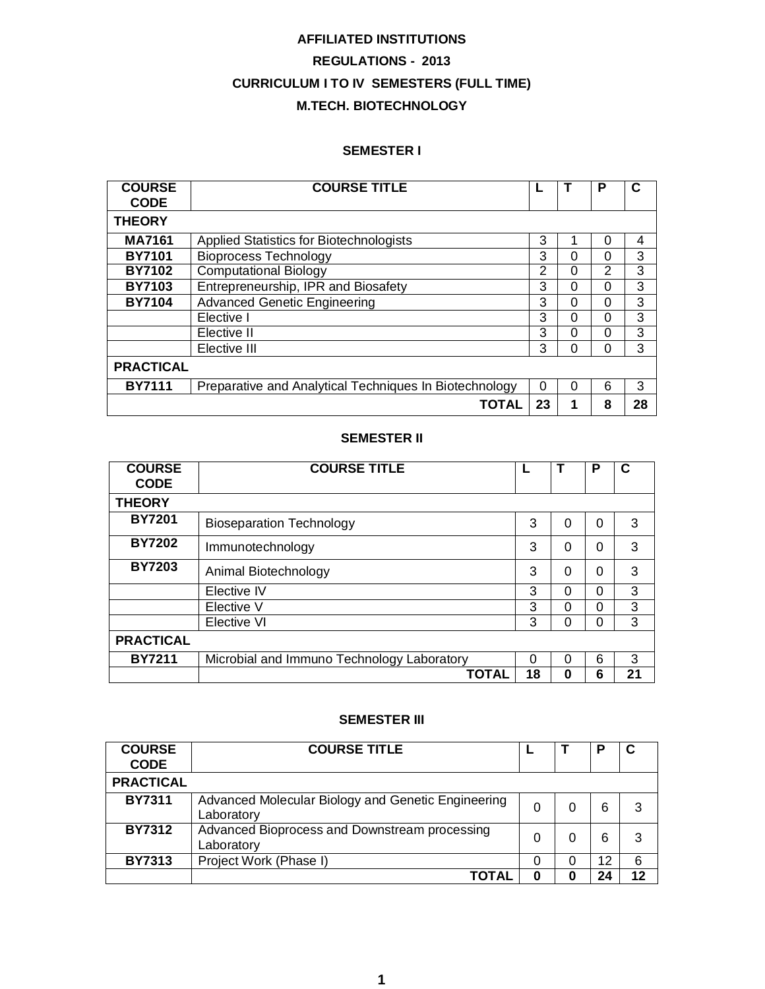# **AFFILIATED INSTITUTIONS REGULATIONS - 2013 CURRICULUM I TO IV SEMESTERS (FULL TIME) M.TECH. BIOTECHNOLOGY**

### **SEMESTER I**

| <b>COURSE</b><br><b>CODE</b> | <b>COURSE TITLE</b>                                    |                |   | Р |    |
|------------------------------|--------------------------------------------------------|----------------|---|---|----|
| <b>THEORY</b>                |                                                        |                |   |   |    |
| <b>MA7161</b>                | <b>Applied Statistics for Biotechnologists</b>         | 3              | 1 | 0 | 4  |
| <b>BY7101</b>                | <b>Bioprocess Technology</b>                           | 3              | 0 | 0 | 3  |
| <b>BY7102</b>                | <b>Computational Biology</b>                           | $\overline{2}$ | 0 | 2 | 3  |
| <b>BY7103</b>                | Entrepreneurship, IPR and Biosafety                    | 3              | 0 | 0 | 3  |
| <b>BY7104</b>                | <b>Advanced Genetic Engineering</b>                    | 3              | 0 | 0 | 3  |
|                              | Elective I                                             | 3              | 0 | 0 | 3  |
|                              | Elective II                                            | 3              | 0 | 0 | 3  |
|                              | Elective III                                           | 3              | 0 | 0 | 3  |
| <b>PRACTICAL</b>             |                                                        |                |   |   |    |
| <b>BY7111</b>                | Preparative and Analytical Techniques In Biotechnology | 0              | 0 | 6 | 3  |
|                              | TOTAL                                                  | 23             |   | 8 | 28 |

### **SEMESTER II**

| <b>COURSE</b><br><b>CODE</b> | <b>COURSE TITLE</b>                        |    |   | Р        |    |
|------------------------------|--------------------------------------------|----|---|----------|----|
| <b>THEORY</b>                |                                            |    |   |          |    |
| <b>BY7201</b>                | <b>Bioseparation Technology</b>            | 3  | 0 | $\Omega$ | 3  |
| <b>BY7202</b>                | Immunotechnology                           | 3  | 0 | $\Omega$ | 3  |
| <b>BY7203</b>                | Animal Biotechnology                       | 3  | 0 | $\Omega$ | 3  |
|                              | Elective IV                                | 3  | 0 | 0        | 3  |
|                              | Elective V                                 | 3  | O | 0        | 3  |
|                              | Elective VI                                | 3  | ი | 0        | 3  |
| <b>PRACTICAL</b>             |                                            |    |   |          |    |
| <b>BY7211</b>                | Microbial and Immuno Technology Laboratory | 0  | 0 | 6        | 3  |
|                              | <b>TOTAL</b>                               | 18 | 0 | 6        | 21 |

### **SEMESTER III**

| <b>COURSE</b><br><b>CODE</b> | <b>COURSE TITLE</b>                                              |   |    |    |
|------------------------------|------------------------------------------------------------------|---|----|----|
| <b>PRACTICAL</b>             |                                                                  |   |    |    |
| <b>BY7311</b>                | Advanced Molecular Biology and Genetic Engineering<br>Laboratory | 0 | 6  | 3  |
| <b>BY7312</b>                | Advanced Bioprocess and Downstream processing<br>Laboratory      | 0 | 6  | 3  |
| <b>BY7313</b>                | Project Work (Phase I)                                           | 0 | 12 | 6  |
|                              |                                                                  | 0 | つム | 12 |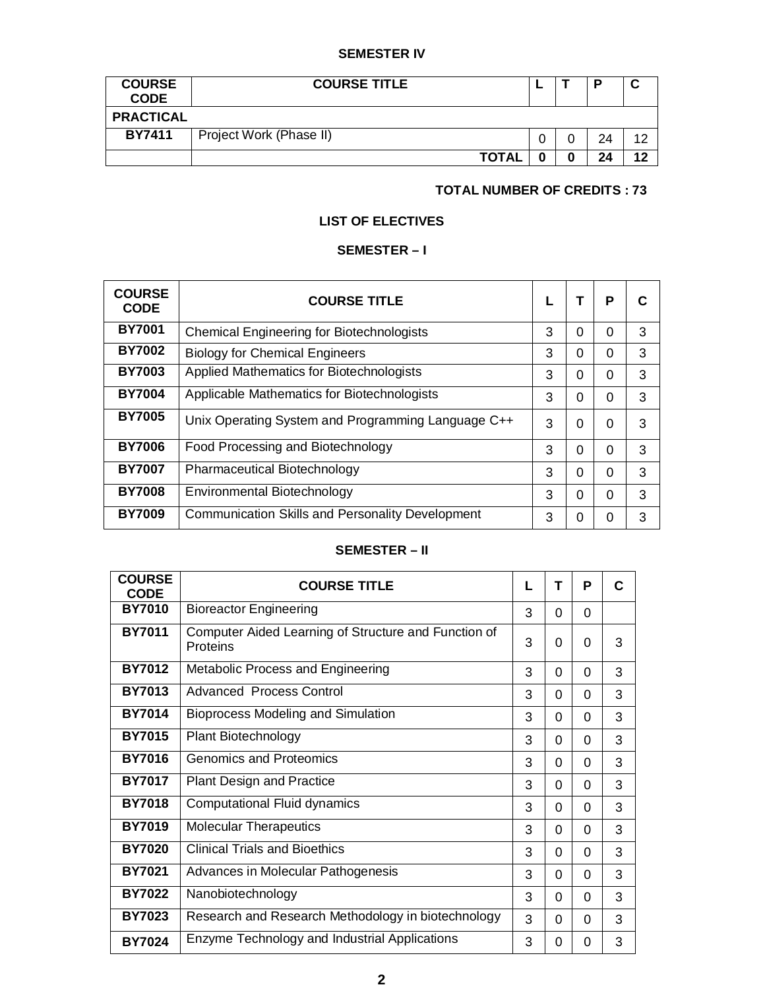## **SEMESTER IV**

| <b>COURSE</b><br><b>CODE</b> | <b>COURSE TITLE</b>     |  |  | P  |    |
|------------------------------|-------------------------|--|--|----|----|
| <b>PRACTICAL</b>             |                         |  |  |    |    |
| <b>BY7411</b>                | Project Work (Phase II) |  |  | 24 | ィつ |
|                              | <b>TOTAL</b>            |  |  | 24 | 12 |

## **TOTAL NUMBER OF CREDITS : 73**

# **LIST OF ELECTIVES**

# **SEMESTER – I**

| <b>COURSE</b><br><b>CODE</b> | <b>COURSE TITLE</b>                                     |   | т        | P        |   |
|------------------------------|---------------------------------------------------------|---|----------|----------|---|
| <b>BY7001</b>                | <b>Chemical Engineering for Biotechnologists</b>        | 3 | 0        | $\Omega$ | 3 |
| <b>BY7002</b>                | <b>Biology for Chemical Engineers</b>                   | 3 | 0        | $\Omega$ | 3 |
| <b>BY7003</b>                | Applied Mathematics for Biotechnologists                | 3 | 0        | 0        | 3 |
| <b>BY7004</b>                | Applicable Mathematics for Biotechnologists             | 3 | $\Omega$ | 0        | 3 |
| <b>BY7005</b>                | Unix Operating System and Programming Language C++      | 3 | $\Omega$ | $\Omega$ | 3 |
| <b>BY7006</b>                | Food Processing and Biotechnology                       | 3 | $\Omega$ | $\Omega$ | 3 |
| <b>BY7007</b>                | <b>Pharmaceutical Biotechnology</b>                     | 3 | $\Omega$ | $\Omega$ | 3 |
| <b>BY7008</b>                | Environmental Biotechnology                             | 3 | 0        | $\Omega$ | 3 |
| <b>BY7009</b>                | <b>Communication Skills and Personality Development</b> | 3 | 0        | $\Omega$ | 3 |

# **SEMESTER – II**

| <b>COURSE</b><br><b>CODE</b> | <b>COURSE TITLE</b>                                              | L | т        | P        | C |
|------------------------------|------------------------------------------------------------------|---|----------|----------|---|
| <b>BY7010</b>                | <b>Bioreactor Engineering</b>                                    | 3 | $\Omega$ | $\Omega$ |   |
| <b>BY7011</b>                | Computer Aided Learning of Structure and Function of<br>Proteins | 3 | $\Omega$ | 0        | 3 |
| <b>BY7012</b>                | Metabolic Process and Engineering                                | 3 | $\Omega$ | $\Omega$ | 3 |
| <b>BY7013</b>                | <b>Advanced Process Control</b>                                  | 3 | $\Omega$ | $\Omega$ | 3 |
| <b>BY7014</b>                | <b>Bioprocess Modeling and Simulation</b>                        | 3 | $\Omega$ | $\Omega$ | 3 |
| <b>BY7015</b>                | <b>Plant Biotechnology</b>                                       | 3 | $\Omega$ | 0        | 3 |
| <b>BY7016</b>                | <b>Genomics and Proteomics</b>                                   | 3 | $\Omega$ | $\Omega$ | 3 |
| <b>BY7017</b>                | <b>Plant Design and Practice</b>                                 | 3 | $\Omega$ | $\Omega$ | 3 |
| <b>BY7018</b>                | Computational Fluid dynamics                                     | 3 | $\Omega$ | $\Omega$ | 3 |
| <b>BY7019</b>                | <b>Molecular Therapeutics</b>                                    | 3 | $\Omega$ | $\Omega$ | 3 |
| <b>BY7020</b>                | <b>Clinical Trials and Bioethics</b>                             | 3 | $\Omega$ | $\Omega$ | 3 |
| <b>BY7021</b>                | Advances in Molecular Pathogenesis                               | 3 | $\Omega$ | $\Omega$ | 3 |
| <b>BY7022</b>                | Nanobiotechnology                                                | 3 | $\Omega$ | $\Omega$ | 3 |
| <b>BY7023</b>                | Research and Research Methodology in biotechnology               | 3 | 0        | 0        | 3 |
| <b>BY7024</b>                | Enzyme Technology and Industrial Applications                    | 3 | 0        | 0        | 3 |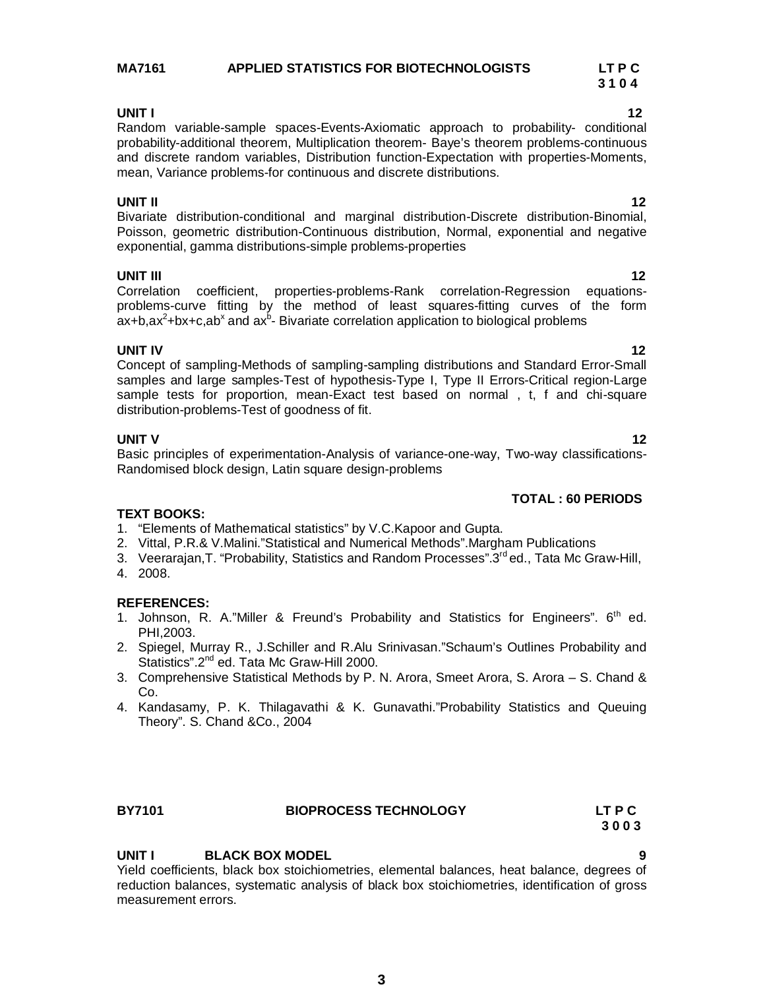# **MA7161 APPLIED STATISTICS FOR BIOTECHNOLOGISTS LT P C**

**UNIT I** 12 Random variable-sample spaces-Events-Axiomatic approach to probability- conditional probability-additional theorem, Multiplication theorem- Baye's theorem problems-continuous and discrete random variables, Distribution function-Expectation with properties-Moments, mean, Variance problems-for continuous and discrete distributions.

### **UNIT II** 12

Bivariate distribution-conditional and marginal distribution-Discrete distribution-Binomial, Poisson, geometric distribution-Continuous distribution, Normal, exponential and negative exponential, gamma distributions-simple problems-properties

### **UNIT III** 12

Correlation coefficient, properties-problems-Rank correlation-Regression equationsproblems-curve fitting by the method of least squares-fitting curves of the form  $ax + b$ ,ax $2 + bx + c$ ,ab<sup>x</sup> and ax $b - B$ ivariate correlation application to biological problems

**UNIT IV** 12 Concept of sampling-Methods of sampling-sampling distributions and Standard Error-Small samples and large samples-Test of hypothesis-Type I, Type II Errors-Critical region-Large sample tests for proportion, mean-Exact test based on normal , t, f and chi-square distribution-problems-Test of goodness of fit.

### **UNIT V** 12

Basic principles of experimentation-Analysis of variance-one-way, Two-way classifications-Randomised block design, Latin square design-problems

### **TOTAL : 60 PERIODS**

# **TEXT BOOKS:**

- 1. "Elements of Mathematical statistics" by V.C.Kapoor and Gupta.
- 2. Vittal, P.R.& V.Malini."Statistical and Numerical Methods".Margham Publications
- 3. Veerarajan, T. "Probability, Statistics and Random Processes".3<sup>rd</sup> ed., Tata Mc Graw-Hill,
- 4. 2008.

### **REFERENCES:**

- 1. Johnson, R. A."Miller & Freund's Probability and Statistics for Engineers".  $6<sup>th</sup>$  ed. PHI,2003.
- 2. Spiegel, Murray R., J.Schiller and R.Alu Srinivasan."Schaum's Outlines Probability and Statistics".2<sup>nd</sup> ed. Tata Mc Graw-Hill 2000.
- 3. Comprehensive Statistical Methods by P. N. Arora, Smeet Arora, S. Arora S. Chand & Co.
- 4. Kandasamy, P. K. Thilagavathi & K. Gunavathi."Probability Statistics and Queuing Theory". S. Chand &Co., 2004

# **UNIT I BLACK BOX MODEL**

Yield coefficients, black box stoichiometries, elemental balances, heat balance, degrees of reduction balances, systematic analysis of black box stoichiometries, identification of gross measurement errors.

**BY7101 BIOPROCESS TECHNOLOGY LT P C 3 0 0 3**

 **3 1 0 4**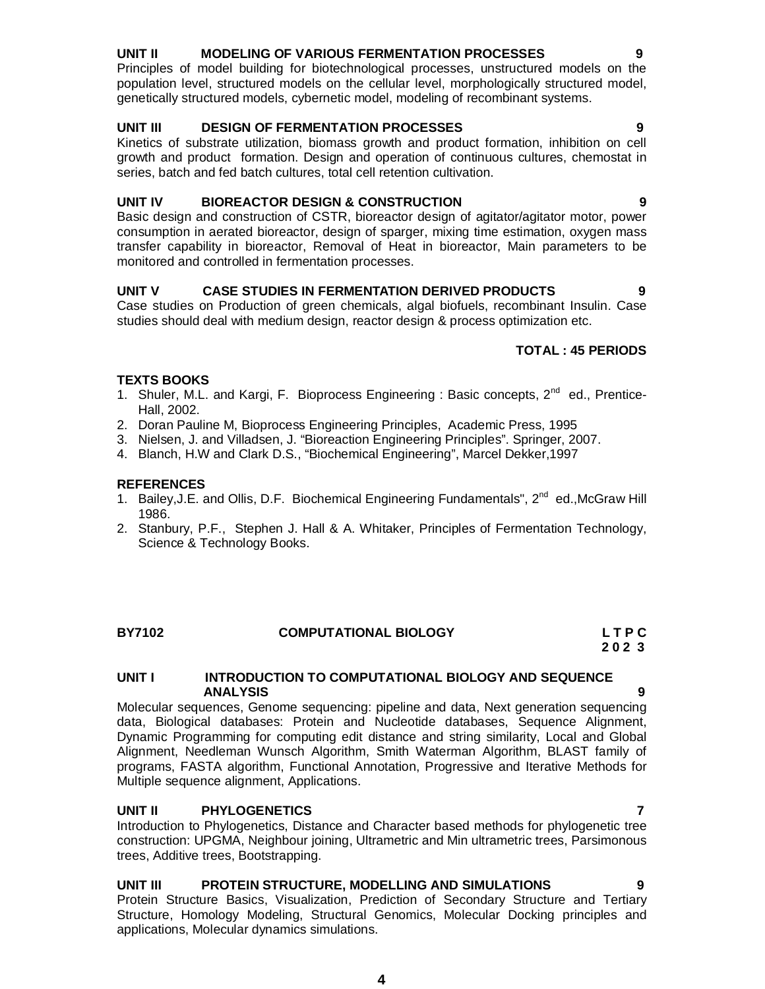### **UNIT II MODELING OF VARIOUS FERMENTATION PROCESSES 9**

Principles of model building for biotechnological processes, unstructured models on the population level, structured models on the cellular level, morphologically structured model, genetically structured models, cybernetic model, modeling of recombinant systems.

### **UNIT III DESIGN OF FERMENTATION PROCESSES 9**

Kinetics of substrate utilization, biomass growth and product formation, inhibition on cell growth and product formation. Design and operation of continuous cultures, chemostat in series, batch and fed batch cultures, total cell retention cultivation.

### **UNIT IV BIOREACTOR DESIGN & CONSTRUCTION 9**

Basic design and construction of CSTR, bioreactor design of agitator/agitator motor, power consumption in aerated bioreactor, design of sparger, mixing time estimation, oxygen mass transfer capability in bioreactor, Removal of Heat in bioreactor, Main parameters to be monitored and controlled in fermentation processes.

### **UNIT V CASE STUDIES IN FERMENTATION DERIVED PRODUCTS 9**

Case studies on Production of green chemicals, algal biofuels, recombinant Insulin. Case studies should deal with medium design, reactor design & process optimization etc.

# **TOTAL : 45 PERIODS**

### **TEXTS BOOKS**

- 1. Shuler, M.L. and Kargi, F. Bioprocess Engineering : Basic concepts, 2<sup>nd</sup> ed., Prentice-Hall, 2002.
- 2. Doran Pauline M, Bioprocess Engineering Principles, Academic Press, 1995
- 3. Nielsen, J. and Villadsen, J. "Bioreaction Engineering Principles". Springer, 2007.
- 4. Blanch, H.W and Clark D.S., "Biochemical Engineering", Marcel Dekker,1997

### **REFERENCES**

- 1. Bailey, J.E. and Ollis, D.F. Biochemical Engineering Fundamentals", 2<sup>nd</sup> ed., McGraw Hill 1986.
- 2. Stanbury, P.F., Stephen J. Hall & A. Whitaker, Principles of Fermentation Technology, Science & Technology Books.

### **BY7102 COMPUTATIONAL BIOLOGY L T P C 2 0 2 3**

### **UNIT I INTRODUCTION TO COMPUTATIONAL BIOLOGY AND SEQUENCE ANALYSIS 9**

Molecular sequences, Genome sequencing: pipeline and data, Next generation sequencing data, Biological databases: Protein and Nucleotide databases, Sequence Alignment, Dynamic Programming for computing edit distance and string similarity, Local and Global Alignment, Needleman Wunsch Algorithm, Smith Waterman Algorithm, BLAST family of programs, FASTA algorithm, Functional Annotation, Progressive and Iterative Methods for Multiple sequence alignment, Applications.

### **UNIT II PHYLOGENETICS 7**

Introduction to Phylogenetics, Distance and Character based methods for phylogenetic tree construction: UPGMA, Neighbour joining, Ultrametric and Min ultrametric trees, Parsimonous trees, Additive trees, Bootstrapping.

# **UNIT III PROTEIN STRUCTURE, MODELLING AND SIMULATIONS 9**

Protein Structure Basics, Visualization, Prediction of Secondary Structure and Tertiary Structure, Homology Modeling, Structural Genomics, Molecular Docking principles and applications, Molecular dynamics simulations.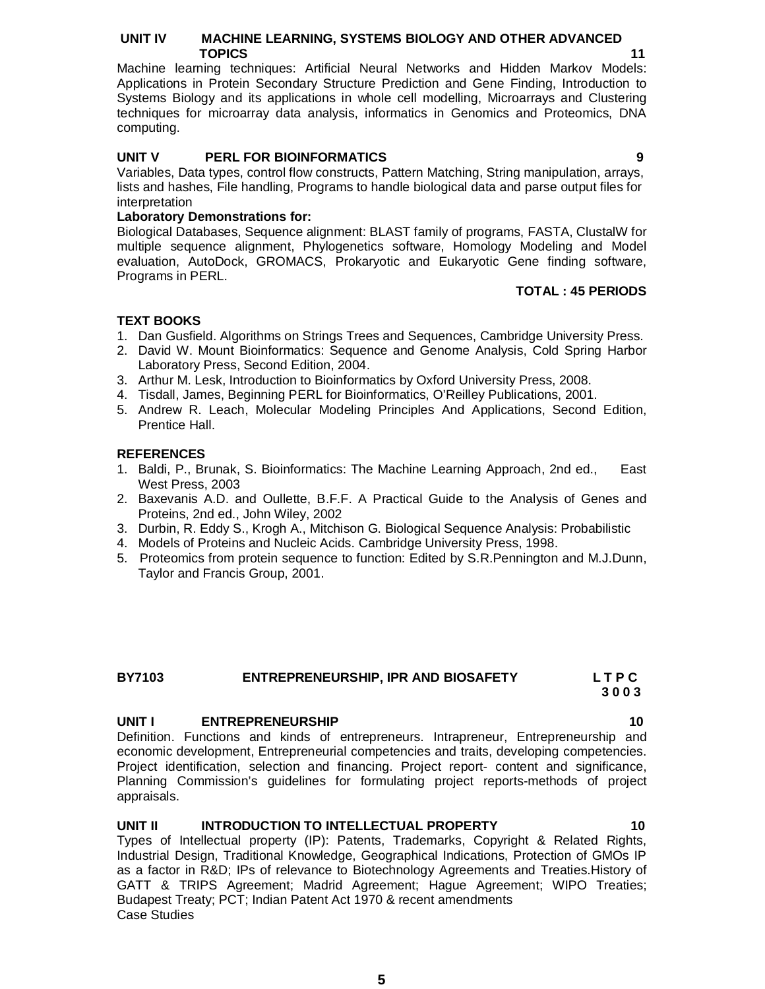### **UNIT IV MACHINE LEARNING, SYSTEMS BIOLOGY AND OTHER ADVANCED TOPICS** 11

Machine learning techniques: Artificial Neural Networks and Hidden Markov Models: Applications in Protein Secondary Structure Prediction and Gene Finding, Introduction to Systems Biology and its applications in whole cell modelling, Microarrays and Clustering techniques for microarray data analysis, informatics in Genomics and Proteomics, DNA computing.

### **UNIT V PERL FOR BIOINFORMATICS 9**

Variables, Data types, control flow constructs, Pattern Matching, String manipulation, arrays, lists and hashes, File handling, Programs to handle biological data and parse output files for interpretation

### **Laboratory Demonstrations for:**

Biological Databases, Sequence alignment: BLAST family of programs, FASTA, ClustalW for multiple sequence alignment, Phylogenetics software, Homology Modeling and Model evaluation, AutoDock, GROMACS, Prokaryotic and Eukaryotic Gene finding software, Programs in PERL.

### **TOTAL : 45 PERIODS**

### **TEXT BOOKS**

- 1. Dan Gusfield. Algorithms on Strings Trees and Sequences, Cambridge University Press.
- 2. David W. Mount Bioinformatics: Sequence and Genome Analysis, Cold Spring Harbor Laboratory Press, Second Edition, 2004.
- 3. Arthur M. Lesk, Introduction to Bioinformatics by Oxford University Press, 2008.
- 4. Tisdall, James, Beginning PERL for Bioinformatics, O'Reilley Publications, 2001.
- 5. Andrew R. Leach, Molecular Modeling Principles And Applications, Second Edition, Prentice Hall.

### **REFERENCES**

- 1. Baldi, P., Brunak, S. Bioinformatics: The Machine Learning Approach, 2nd ed., East West Press, 2003
- 2. Baxevanis A.D. and Oullette, B.F.F. A Practical Guide to the Analysis of Genes and Proteins, 2nd ed., John Wiley, 2002
- 3. Durbin, R. Eddy S., Krogh A., Mitchison G. Biological Sequence Analysis: Probabilistic
- 4. Models of Proteins and Nucleic Acids. Cambridge University Press, 1998.
- 5. Proteomics from protein sequence to function: Edited by S.R.Pennington and M.J.Dunn, Taylor and Francis Group, 2001.

### **BY7103 ENTREPRENEURSHIP, IPR AND BIOSAFETY L T P C 3 0 0 3**

### **UNIT I** ENTREPRENEURSHIP 10

Definition. Functions and kinds of entrepreneurs. Intrapreneur, Entrepreneurship and economic development, Entrepreneurial competencies and traits, developing competencies. Project identification, selection and financing. Project report- content and significance, Planning Commission's guidelines for formulating project reports-methods of project appraisals.

### **UNIT II INTRODUCTION TO INTELLECTUAL PROPERTY 10**

Types of Intellectual property (IP): Patents, Trademarks, Copyright & Related Rights, Industrial Design, Traditional Knowledge, Geographical Indications, Protection of GMOs IP as a factor in R&D; IPs of relevance to Biotechnology Agreements and Treaties.History of GATT & TRIPS Agreement; Madrid Agreement; Hague Agreement; WIPO Treaties; Budapest Treaty; PCT; Indian Patent Act 1970 & recent amendments Case Studies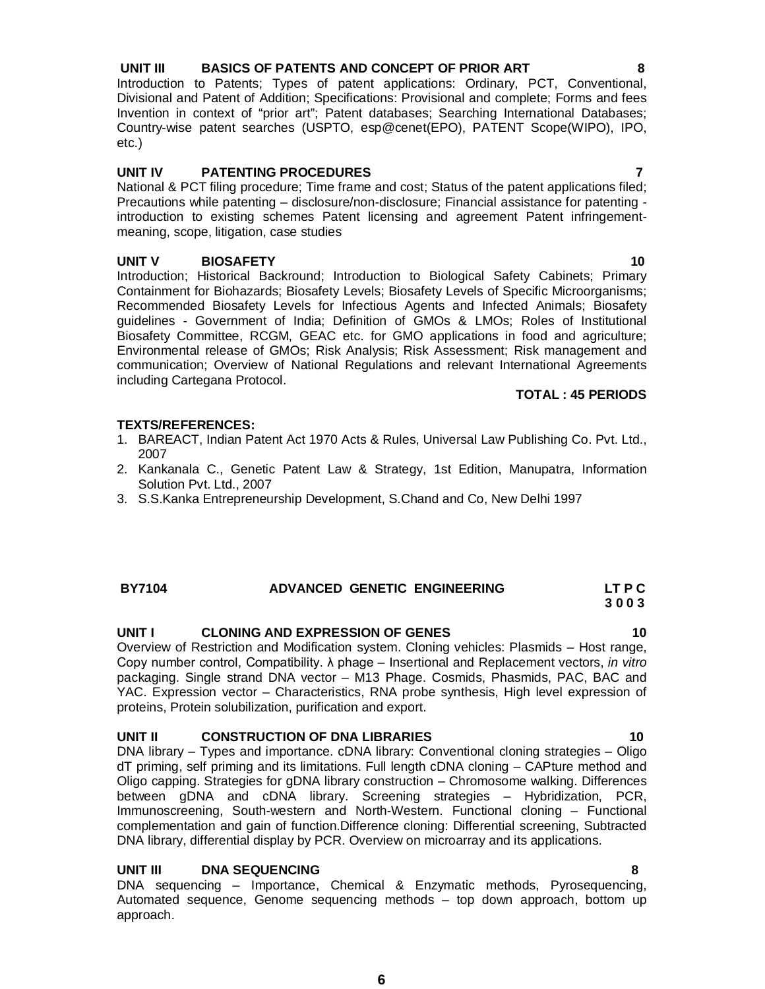## **UNIT III BASICS OF PATENTS AND CONCEPT OF PRIOR ART 8**

Introduction to Patents; Types of patent applications: Ordinary, PCT, Conventional, Divisional and Patent of Addition; Specifications: Provisional and complete; Forms and fees Invention in context of "prior art"; Patent databases; Searching International Databases; Country-wise patent searches (USPTO, esp@cenet(EPO), PATENT Scope(WIPO), IPO, etc.)

### **UNIT IV PATENTING PROCEDURES 7**

National & PCT filing procedure; Time frame and cost; Status of the patent applications filed; Precautions while patenting – disclosure/non-disclosure; Financial assistance for patenting introduction to existing schemes Patent licensing and agreement Patent infringementmeaning, scope, litigation, case studies

### **UNIT V BIOSAFETY 10**

Introduction; Historical Backround; Introduction to Biological Safety Cabinets; Primary Containment for Biohazards; Biosafety Levels; Biosafety Levels of Specific Microorganisms; Recommended Biosafety Levels for Infectious Agents and Infected Animals; Biosafety guidelines - Government of India; Definition of GMOs & LMOs; Roles of Institutional Biosafety Committee, RCGM, GEAC etc. for GMO applications in food and agriculture; Environmental release of GMOs; Risk Analysis; Risk Assessment; Risk management and communication; Overview of National Regulations and relevant International Agreements including Cartegana Protocol.

### **TOTAL : 45 PERIODS**

### **TEXTS/REFERENCES:**

- 1. BAREACT, Indian Patent Act 1970 Acts & Rules, Universal Law Publishing Co. Pvt. Ltd., 2007
- 2. Kankanala C., Genetic Patent Law & Strategy, 1st Edition, Manupatra, Information Solution Pvt. Ltd., 2007
- 3. S.S.Kanka Entrepreneurship Development, S.Chand and Co, New Delhi 1997

# **BY7104 ADVANCED GENETIC ENGINEERING LT P C 3 0 0 3**

# **UNIT I CLONING AND EXPRESSION OF GENES 10**

Overview of Restriction and Modification system. Cloning vehicles: Plasmids – Host range, Copy number control, Compatibility. λ phage – Insertional and Replacement vectors, *in vitro* packaging. Single strand DNA vector – M13 Phage. Cosmids, Phasmids, PAC, BAC and YAC. Expression vector – Characteristics, RNA probe synthesis, High level expression of proteins, Protein solubilization, purification and export.

# **UNIT II CONSTRUCTION OF DNA LIBRARIES 10**

DNA library – Types and importance. cDNA library: Conventional cloning strategies – Oligo dT priming, self priming and its limitations. Full length cDNA cloning – CAPture method and Oligo capping. Strategies for gDNA library construction – Chromosome walking. Differences between gDNA and cDNA library. Screening strategies – Hybridization, PCR, Immunoscreening, South-western and North-Western. Functional cloning – Functional complementation and gain of function.Difference cloning: Differential screening, Subtracted DNA library, differential display by PCR. Overview on microarray and its applications.

### **UNIT III DNA SEQUENCING 8**

DNA sequencing – Importance, Chemical & Enzymatic methods, Pyrosequencing, Automated sequence, Genome sequencing methods – top down approach, bottom up approach.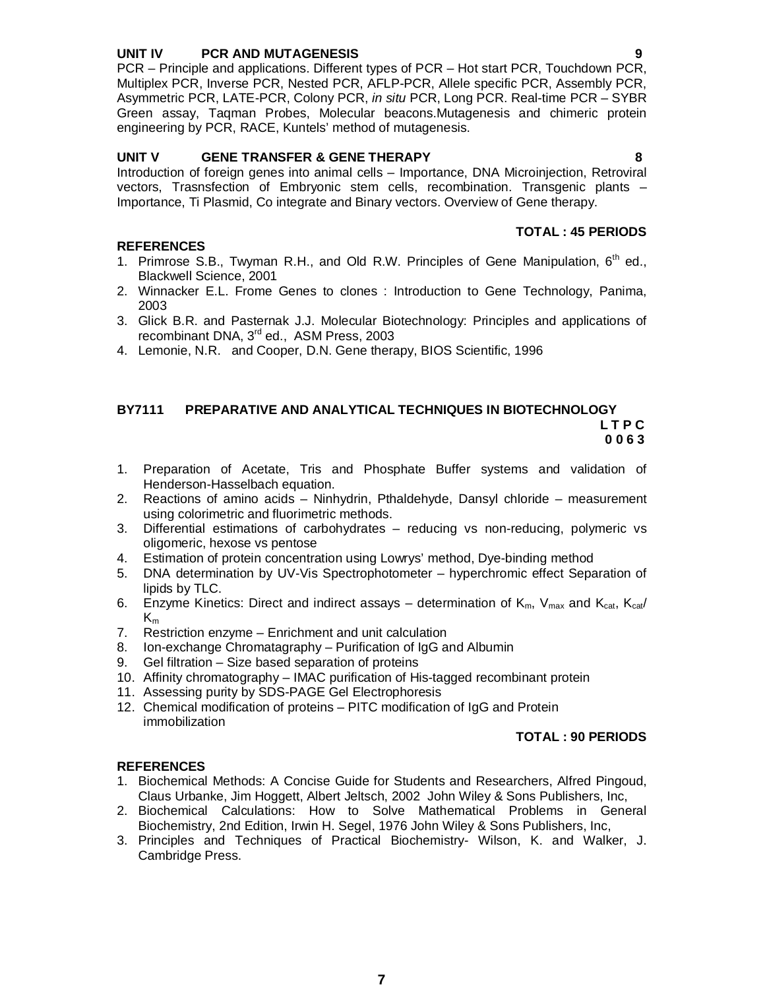### **UNIT IV PCR AND MUTAGENESIS 9**

PCR – Principle and applications. Different types of PCR – Hot start PCR, Touchdown PCR, Multiplex PCR, Inverse PCR, Nested PCR, AFLP-PCR, Allele specific PCR, Assembly PCR, Asymmetric PCR, LATE-PCR, Colony PCR, *in situ* PCR, Long PCR. Real-time PCR – SYBR Green assay, Taqman Probes, Molecular beacons.Mutagenesis and chimeric protein engineering by PCR, RACE, Kuntels' method of mutagenesis.

## **UNIT V GENE TRANSFER & GENE THERAPY 8**

Introduction of foreign genes into animal cells – Importance, DNA Microinjection, Retroviral vectors, Trasnsfection of Embryonic stem cells, recombination. Transgenic plants – Importance, Ti Plasmid, Co integrate and Binary vectors. Overview of Gene therapy.

### **REFERENCES**

### **TOTAL : 45 PERIODS**

- 1. Primrose S.B., Twyman R.H., and Old R.W. Principles of Gene Manipulation, 6<sup>th</sup> ed., Blackwell Science, 2001
- 2. Winnacker E.L. Frome Genes to clones : Introduction to Gene Technology, Panima, 2003
- 3. Glick B.R. and Pasternak J.J. Molecular Biotechnology: Principles and applications of recombinant DNA, 3<sup>rd</sup> ed., ASM Press, 2003
- 4. Lemonie, N.R. and Cooper, D.N. Gene therapy, BIOS Scientific, 1996

### **BY7111 PREPARATIVE AND ANALYTICAL TECHNIQUES IN BIOTECHNOLOGY L T P C**

 **0 0 6 3**

- 1. Preparation of Acetate, Tris and Phosphate Buffer systems and validation of Henderson-Hasselbach equation.
- 2. Reactions of amino acids Ninhydrin, Pthaldehyde, Dansyl chloride measurement using colorimetric and fluorimetric methods.
- 3. Differential estimations of carbohydrates reducing vs non-reducing, polymeric vs oligomeric, hexose vs pentose
- 4. Estimation of protein concentration using Lowrys' method, Dye-binding method
- 5. DNA determination by UV-Vis Spectrophotometer hyperchromic effect Separation of lipids by TLC.
- 6. Enzyme Kinetics: Direct and indirect assays determination of  $K_m$ ,  $V_{max}$  and  $K_{cat}$ ,  $K_{cat}/$  $K_m$
- 7. Restriction enzyme Enrichment and unit calculation
- 8. Ion-exchange Chromatagraphy Purification of IgG and Albumin
- 9. Gel filtration Size based separation of proteins
- 10. Affinity chromatography IMAC purification of His-tagged recombinant protein
- 11. Assessing purity by SDS-PAGE Gel Electrophoresis
- 12. Chemical modification of proteins PITC modification of IgG and Protein immobilization

### **TOTAL : 90 PERIODS**

- 1. Biochemical Methods: A Concise Guide for Students and Researchers, Alfred Pingoud, Claus Urbanke, Jim Hoggett, Albert Jeltsch, 2002 John Wiley & Sons Publishers, Inc,
- 2. Biochemical Calculations: How to Solve Mathematical Problems in General Biochemistry, 2nd Edition, Irwin H. Segel, 1976 John Wiley & Sons Publishers, Inc,
- 3. Principles and Techniques of Practical Biochemistry- Wilson, K. and Walker, J. Cambridge Press.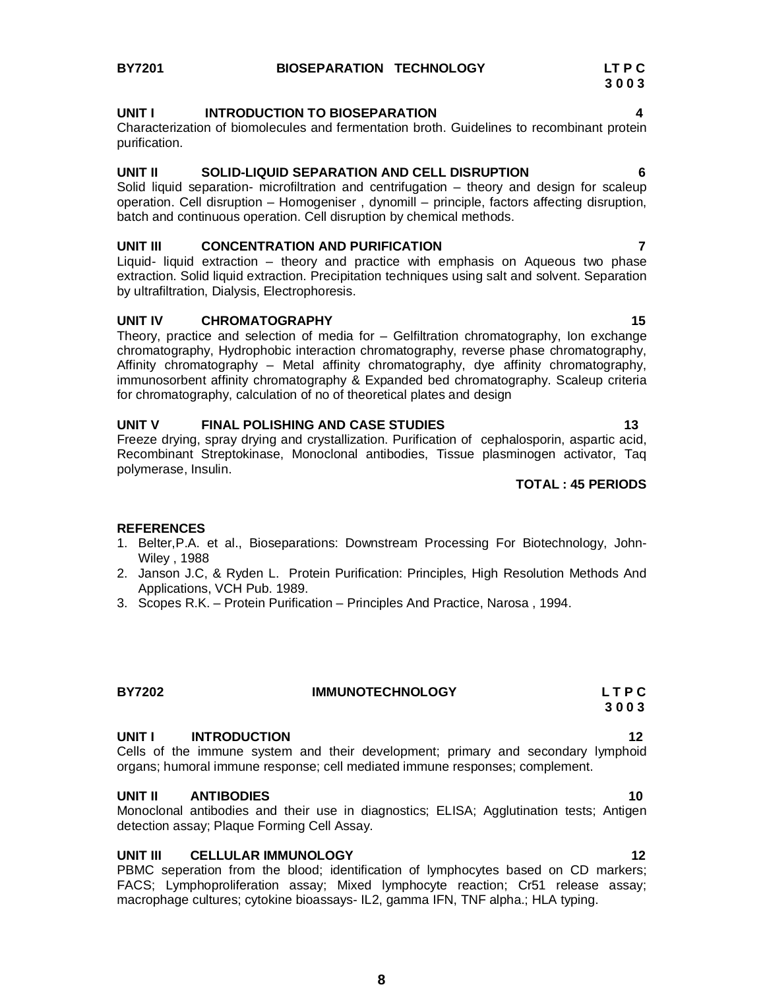### **UNIT I INTRODUCTION TO BIOSEPARATION 4**

Characterization of biomolecules and fermentation broth. Guidelines to recombinant protein purification.

### **UNIT II SOLID-LIQUID SEPARATION AND CELL DISRUPTION 6**

Solid liquid separation- microfiltration and centrifugation – theory and design for scaleup operation. Cell disruption – Homogeniser , dynomill – principle, factors affecting disruption, batch and continuous operation. Cell disruption by chemical methods.

### **UNIT III CONCENTRATION AND PURIFICATION 7**

Liquid- liquid extraction – theory and practice with emphasis on Aqueous two phase extraction. Solid liquid extraction. Precipitation techniques using salt and solvent. Separation by ultrafiltration, Dialysis, Electrophoresis.

### UNIT IV CHROMATOGRAPHY **15**

Theory, practice and selection of media for – Gelfiltration chromatography, Ion exchange chromatography, Hydrophobic interaction chromatography, reverse phase chromatography, Affinity chromatography – Metal affinity chromatography, dye affinity chromatography, immunosorbent affinity chromatography & Expanded bed chromatography. Scaleup criteria for chromatography, calculation of no of theoretical plates and design

### UNIT V FINAL POLISHING AND CASE STUDIES **13**

Freeze drying, spray drying and crystallization. Purification of cephalosporin, aspartic acid, Recombinant Streptokinase, Monoclonal antibodies, Tissue plasminogen activator, Taq polymerase, Insulin.

### **TOTAL : 45 PERIODS**

### **REFERENCES**

- 1. Belter,P.A. et al., Bioseparations: Downstream Processing For Biotechnology, John-Wiley , 1988
- 2. Janson J.C, & Ryden L. Protein Purification: Principles, High Resolution Methods And Applications, VCH Pub. 1989.
- 3. Scopes R.K. Protein Purification Principles And Practice, Narosa , 1994.

# **BY7202 IMMUNOTECHNOLOGY L T P C**

# **UNIT I INTRODUCTION 12**

Cells of the immune system and their development; primary and secondary lymphoid organs; humoral immune response; cell mediated immune responses; complement.

# **UNIT II ANTIBODIES 10**

Monoclonal antibodies and their use in diagnostics; ELISA; Agglutination tests; Antigen detection assay; Plaque Forming Cell Assay.

### **UNIT III CELLULAR IMMUNOLOGY 12**

PBMC seperation from the blood; identification of lymphocytes based on CD markers; FACS; Lymphoproliferation assay; Mixed lymphocyte reaction; Cr51 release assay; macrophage cultures; cytokine bioassays- IL2, gamma IFN, TNF alpha.; HLA typing.

 **3 0 0 3**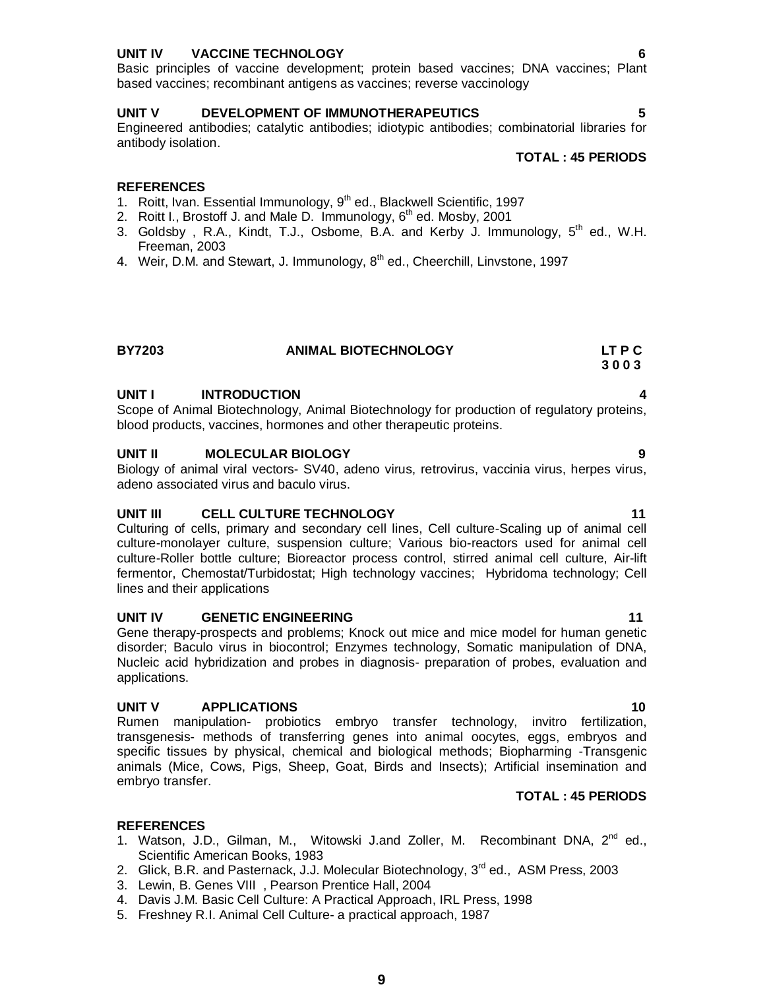### **UNIT IV VACCINE TECHNOLOGY 6**

Basic principles of vaccine development; protein based vaccines; DNA vaccines; Plant based vaccines; recombinant antigens as vaccines; reverse vaccinology

### **UNIT V DEVELOPMENT OF IMMUNOTHERAPEUTICS 5**

Engineered antibodies; catalytic antibodies; idiotypic antibodies; combinatorial libraries for antibody isolation.

# **REFERENCES**

- 1. Roitt, Ivan. Essential Immunology, 9<sup>th</sup> ed., Blackwell Scientific, 1997
- 2. Roitt I., Brostoff J. and Male D. Immunology,  $6<sup>th</sup>$  ed. Mosby, 2001
- 3. Goldsby, R.A., Kindt, T.J., Osbome, B.A. and Kerby J. Immunology,  $5<sup>th</sup>$  ed., W.H. Freeman, 2003
- 4. Weir, D.M. and Stewart, J. Immunology, 8<sup>th</sup> ed., Cheerchill, Linvstone, 1997

# **3 0 0 3**

### UNIT **INTRODUCTION**

Scope of Animal Biotechnology, Animal Biotechnology for production of regulatory proteins, blood products, vaccines, hormones and other therapeutic proteins.

**BY7203 ANIMAL BIOTECHNOLOGY LT P C**

### **UNIT II MOLECULAR BIOLOGY 9**

Biology of animal viral vectors- SV40, adeno virus, retrovirus, vaccinia virus, herpes virus, adeno associated virus and baculo virus.

### **UNIT III CELL CULTURE TECHNOLOGY 11 11**

Culturing of cells, primary and secondary cell lines, Cell culture-Scaling up of animal cell culture-monolayer culture, suspension culture; Various bio-reactors used for animal cell culture-Roller bottle culture; Bioreactor process control, stirred animal cell culture, Air-lift fermentor, Chemostat/Turbidostat; High technology vaccines; Hybridoma technology; Cell lines and their applications

### **UNIT IV GENETIC ENGINEERING 11 11**

Gene therapy-prospects and problems; Knock out mice and mice model for human genetic disorder; Baculo virus in biocontrol; Enzymes technology, Somatic manipulation of DNA, Nucleic acid hybridization and probes in diagnosis- preparation of probes, evaluation and applications.

### **UNIT V APPLICATIONS** 40

Rumen manipulation- probiotics embryo transfer technology, invitro fertilization, transgenesis- methods of transferring genes into animal oocytes, eggs, embryos and specific tissues by physical, chemical and biological methods; Biopharming -Transgenic animals (Mice, Cows, Pigs, Sheep, Goat, Birds and Insects); Artificial insemination and embryo transfer.

### **REFERENCES**

- 1. Watson, J.D., Gilman, M., Witowski J.and Zoller, M. Recombinant DNA, 2<sup>nd</sup> ed., Scientific American Books, 1983
- 2. Glick, B.R. and Pasternack, J.J. Molecular Biotechnology,  $3<sup>rd</sup>$  ed., ASM Press, 2003
- 3. Lewin, B. Genes VIII , Pearson Prentice Hall, 2004
- 4. Davis J.M. Basic Cell Culture: A Practical Approach, IRL Press, 1998
- 5. Freshney R.I. Animal Cell Culture- a practical approach, 1987

# **TOTAL : 45 PERIODS**

**TOTAL : 45 PERIODS**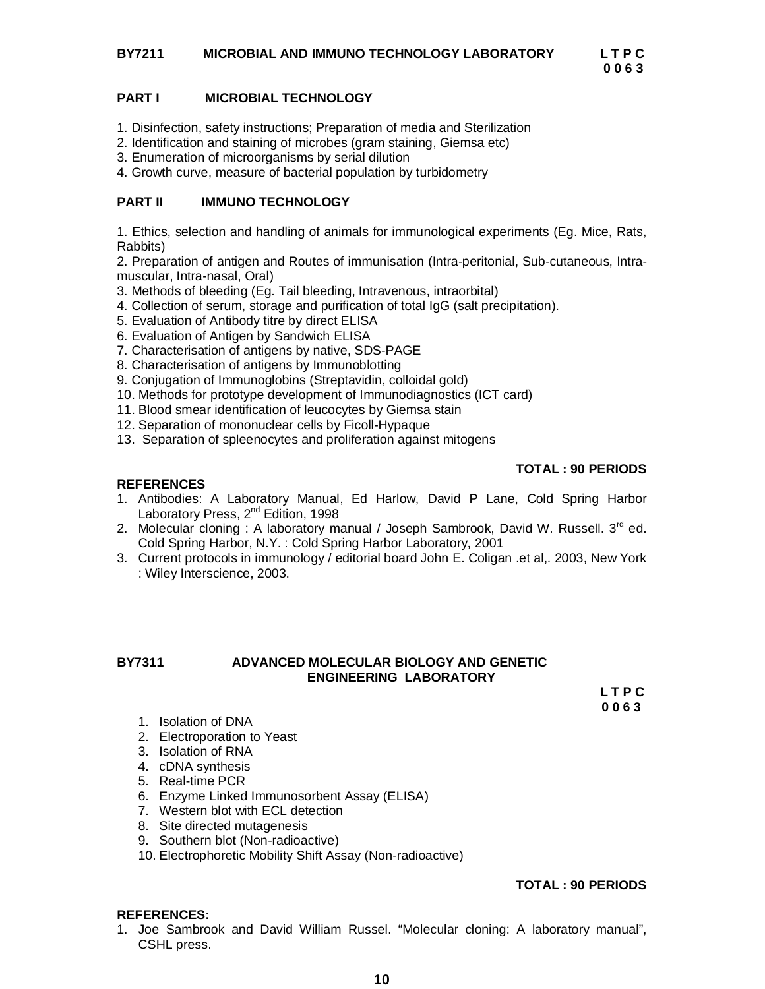# **BY7211 MICROBIAL AND IMMUNO TECHNOLOGY LABORATORY L T P C**

 **0 0 6 3**

### **PART I MICROBIAL TECHNOLOGY**

- 1. Disinfection, safety instructions; Preparation of media and Sterilization
- 2. Identification and staining of microbes (gram staining, Giemsa etc)
- 3. Enumeration of microorganisms by serial dilution
- 4. Growth curve, measure of bacterial population by turbidometry

### **PART II IMMUNO TECHNOLOGY**

1. Ethics, selection and handling of animals for immunological experiments (Eg. Mice, Rats, Rabbits)

2. Preparation of antigen and Routes of immunisation (Intra-peritonial, Sub-cutaneous, Intramuscular, Intra-nasal, Oral)

- 3. Methods of bleeding (Eg. Tail bleeding, Intravenous, intraorbital)
- 4. Collection of serum, storage and purification of total IgG (salt precipitation).
- 5. Evaluation of Antibody titre by direct ELISA
- 6. Evaluation of Antigen by Sandwich ELISA
- 7. Characterisation of antigens by native, SDS-PAGE
- 8. Characterisation of antigens by Immunoblotting
- 9. Conjugation of Immunoglobins (Streptavidin, colloidal gold)
- 10. Methods for prototype development of Immunodiagnostics (ICT card)
- 11. Blood smear identification of leucocytes by Giemsa stain
- 12. Separation of mononuclear cells by Ficoll-Hypaque
- 13. Separation of spleenocytes and proliferation against mitogens

### **TOTAL : 90 PERIODS**

### **REFERENCES**

- 1. Antibodies: A Laboratory Manual, Ed Harlow, David P Lane, Cold Spring Harbor Laboratory Press, 2<sup>nd</sup> Edition, 1998
- 2. Molecular cloning : A laboratory manual / Joseph Sambrook, David W. Russell.  $3^{rd}$  ed. Cold Spring Harbor, N.Y. : Cold Spring Harbor Laboratory, 2001
- 3. Current protocols in immunology / editorial board John E. Coligan .et al,. 2003, New York : Wiley Interscience, 2003.

### **BY7311 ADVANCED MOLECULAR BIOLOGY AND GENETIC ENGINEERING LABORATORY**

 **L T P C 0 0 6 3**

- 1. Isolation of DNA
- 2. Electroporation to Yeast
- 3. Isolation of RNA
- 4. cDNA synthesis
- 5. Real-time PCR
- 6. Enzyme Linked Immunosorbent Assay (ELISA)
- 7. Western blot with ECL detection
- 8. Site directed mutagenesis
- 9. Southern blot (Non-radioactive)
- 10. Electrophoretic Mobility Shift Assay (Non-radioactive)

# **TOTAL : 90 PERIODS**

### **REFERENCES:**

1. Joe Sambrook and David William Russel. "Molecular cloning: A laboratory manual", CSHL press.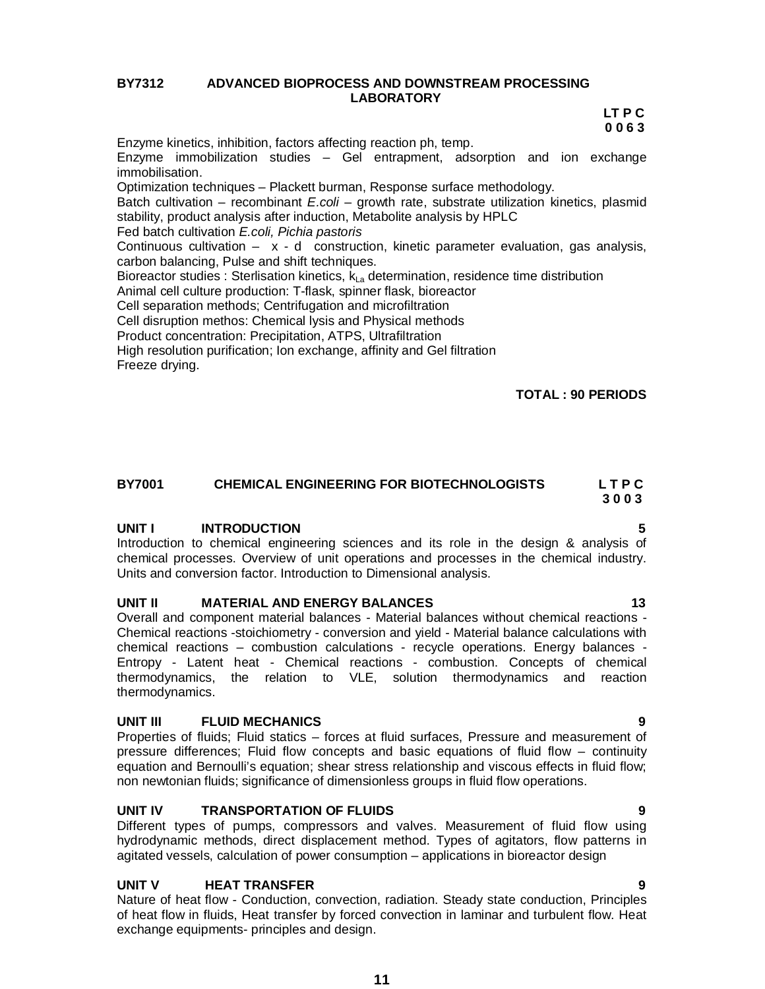### **BY7312 ADVANCED BIOPROCESS AND DOWNSTREAM PROCESSING LABORATORY**

 **LT P C 0 0 6 3**

Enzyme kinetics, inhibition, factors affecting reaction ph, temp. Enzyme immobilization studies – Gel entrapment, adsorption and ion exchange immobilisation. Optimization techniques – Plackett burman, Response surface methodology. Batch cultivation – recombinant *E.coli* – growth rate, substrate utilization kinetics, plasmid stability, product analysis after induction, Metabolite analysis by HPLC Fed batch cultivation *E.coli, Pichia pastoris* Continuous cultivation  $- x - d$  construction, kinetic parameter evaluation, gas analysis, carbon balancing, Pulse and shift techniques. Bioreactor studies : Sterlisation kinetics, kLa determination, residence time distribution Animal cell culture production: T-flask, spinner flask, bioreactor Cell separation methods; Centrifugation and microfiltration Cell disruption methos: Chemical lysis and Physical methods Product concentration: Precipitation, ATPS, Ultrafiltration High resolution purification; Ion exchange, affinity and Gel filtration Freeze drying.

# **TOTAL : 90 PERIODS**

### **BY7001 CHEMICAL ENGINEERING FOR BIOTECHNOLOGISTS L T P C 3 0 0 3**

### UNIT **INTRODUCTION**

Introduction to chemical engineering sciences and its role in the design & analysis of chemical processes. Overview of unit operations and processes in the chemical industry. Units and conversion factor. Introduction to Dimensional analysis.

### **UNIT II MATERIAL AND ENERGY BALANCES 13**

Overall and component material balances - Material balances without chemical reactions - Chemical reactions -stoichiometry - conversion and yield - Material balance calculations with chemical reactions – combustion calculations - recycle operations. Energy balances - Entropy - Latent heat - Chemical reactions - combustion. Concepts of chemical thermodynamics, the relation to VLE, solution thermodynamics and reaction thermodynamics.

### **UNIT III FLUID MECHANICS 9**

Properties of fluids; Fluid statics – forces at fluid surfaces, Pressure and measurement of pressure differences; Fluid flow concepts and basic equations of fluid flow – continuity equation and Bernoulli's equation; shear stress relationship and viscous effects in fluid flow; non newtonian fluids; significance of dimensionless groups in fluid flow operations.

### **UNIT IV TRANSPORTATION OF FLUIDS 9**

Different types of pumps, compressors and valves. Measurement of fluid flow using hydrodynamic methods, direct displacement method. Types of agitators, flow patterns in agitated vessels, calculation of power consumption – applications in bioreactor design

### **UNIT V HEAT TRANSFER 9**

Nature of heat flow - Conduction, convection, radiation. Steady state conduction, Principles of heat flow in fluids, Heat transfer by forced convection in laminar and turbulent flow. Heat exchange equipments- principles and design.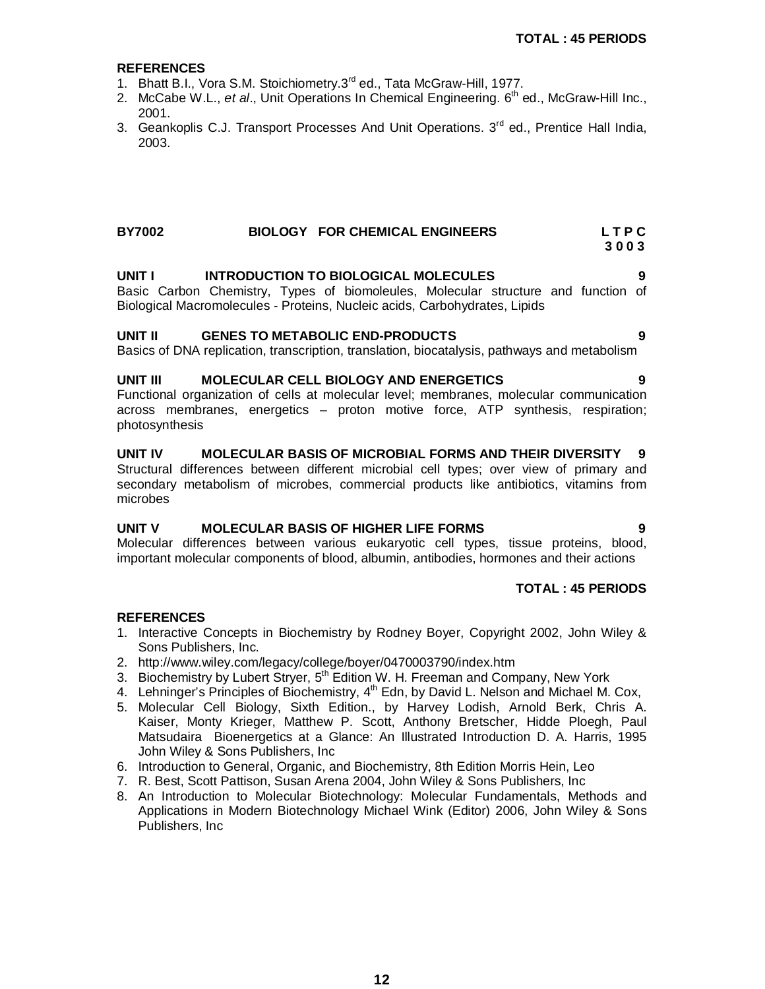# **REFERENCES**

- 1. Bhatt B.I., Vora S.M. Stoichiometry.3<sup>rd</sup> ed., Tata McGraw-Hill, 1977.
- 2. McCabe W.L., *et al.*, Unit Operations In Chemical Engineering. 6<sup>th</sup> ed., McGraw-Hill Inc., 2001.
- 3. Geankoplis C.J. Transport Processes And Unit Operations. 3<sup>rd</sup> ed., Prentice Hall India, 2003.

### **BY7002 BIOLOGY FOR CHEMICAL ENGINEERS L T P C 3 0 0 3**

# **UNIT I INTRODUCTION TO BIOLOGICAL MOLECULES 9**

Basic Carbon Chemistry, Types of biomoleules, Molecular structure and function of Biological Macromolecules - Proteins, Nucleic acids, Carbohydrates, Lipids

# **UNIT II GENES TO METABOLIC END-PRODUCTS 9**

Basics of DNA replication, transcription, translation, biocatalysis, pathways and metabolism

# **UNIT III MOLECULAR CELL BIOLOGY AND ENERGETICS 9**

Functional organization of cells at molecular level; membranes, molecular communication across membranes, energetics – proton motive force, ATP synthesis, respiration; photosynthesis

# **UNIT IV MOLECULAR BASIS OF MICROBIAL FORMS AND THEIR DIVERSITY 9**

Structural differences between different microbial cell types; over view of primary and secondary metabolism of microbes, commercial products like antibiotics, vitamins from microbes

# **UNIT V MOLECULAR BASIS OF HIGHER LIFE FORMS 9**

Molecular differences between various eukaryotic cell types, tissue proteins, blood, important molecular components of blood, albumin, antibodies, hormones and their actions

# **TOTAL : 45 PERIODS**

- 1. Interactive Concepts in Biochemistry by Rodney Boyer, Copyright 2002, John Wiley & Sons Publishers, Inc.
- 2. http://www.wiley.com/legacy/college/boyer/0470003790/index.htm
- 3. Biochemistry by Lubert Stryer, 5<sup>th</sup> Edition W. H. Freeman and Company, New York
- 4. Lehninger's Principles of Biochemistry, 4<sup>th</sup> Edn, by David L. Nelson and Michael M. Cox,
- 5. Molecular Cell Biology, Sixth Edition., by Harvey Lodish, Arnold Berk, Chris A. Kaiser, Monty Krieger, Matthew P. Scott, Anthony Bretscher, Hidde Ploegh, Paul Matsudaira Bioenergetics at a Glance: An Illustrated Introduction D. A. Harris, 1995 John Wiley & Sons Publishers, Inc
- 6. Introduction to General, Organic, and Biochemistry, 8th Edition Morris Hein, Leo
- 7. R. Best, Scott Pattison, Susan Arena 2004, John Wiley & Sons Publishers, Inc
- 8. An Introduction to Molecular Biotechnology: Molecular Fundamentals, Methods and Applications in Modern Biotechnology Michael Wink (Editor) 2006, John Wiley & Sons Publishers, Inc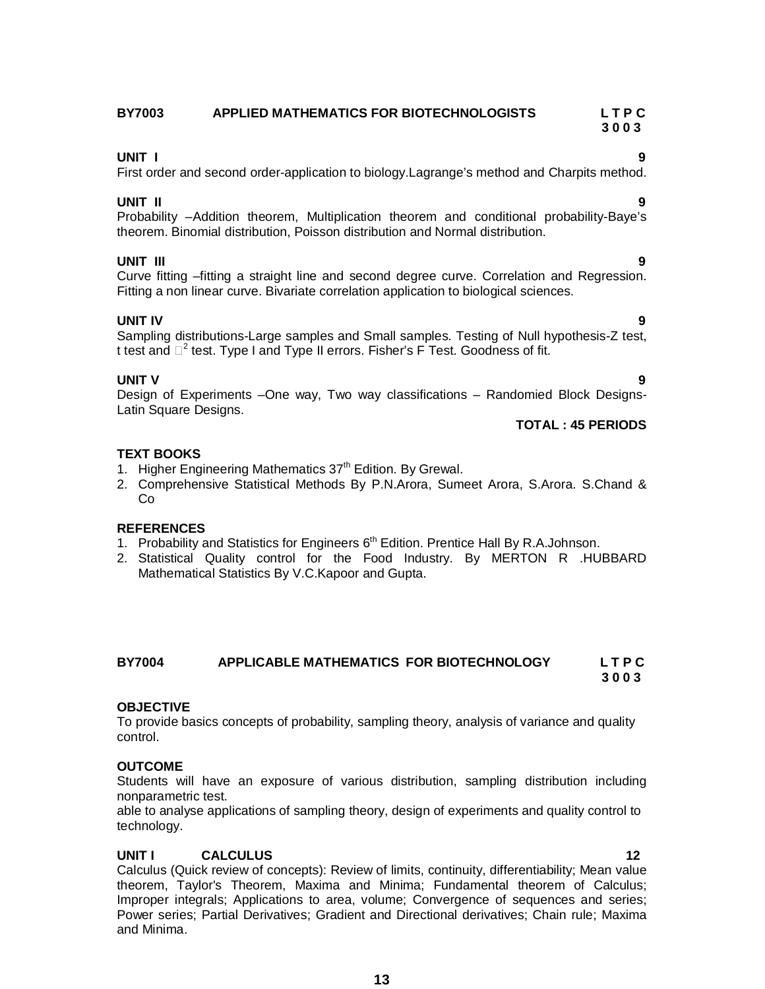### **BY7003 APPLIED MATHEMATICS FOR BIOTECHNOLOGISTS L T P C 3 0 0 3**

**UNIT I 9** First order and second order-application to biology.Lagrange's method and Charpits method.

# **UNIT II 9**

Probability –Addition theorem, Multiplication theorem and conditional probability-Baye's theorem. Binomial distribution, Poisson distribution and Normal distribution.

# **UNIT III 9**

Curve fitting –fitting a straight line and second degree curve. Correlation and Regression. Fitting a non linear curve. Bivariate correlation application to biological sciences.

**UNIT IV 9** Sampling distributions-Large samples and Small samples. Testing of Null hypothesis-Z test, t test and  $\Box^2$  test. Type I and Type II errors. Fisher's F Test. Goodness of fit.

# **UNIT V 9**

Design of Experiments –One way, Two way classifications – Randomied Block Designs-Latin Square Designs.

# **TOTAL : 45 PERIODS**

# **TEXT BOOKS**

- 1. Higher Engineering Mathematics 37<sup>th</sup> Edition. By Grewal.
- 2. Comprehensive Statistical Methods By P.N.Arora, Sumeet Arora, S.Arora. S.Chand & Co

# **REFERENCES**

- 1. Probability and Statistics for Engineers 6<sup>th</sup> Edition. Prentice Hall By R.A.Johnson.
- 2. Statistical Quality control for the Food Industry. By MERTON R .HUBBARD Mathematical Statistics By V.C.Kapoor and Gupta.

### **BY7004 APPLICABLE MATHEMATICS FOR BIOTECHNOLOGY L T P C 3 0 0 3**

# **OBJECTIVE**

To provide basics concepts of probability, sampling theory, analysis of variance and quality control.

# **OUTCOME**

Students will have an exposure of various distribution, sampling distribution including nonparametric test.

able to analyse applications of sampling theory, design of experiments and quality control to technology.

# **UNIT I CALCULUS 12**

Calculus (Quick review of concepts): Review of limits, continuity, differentiability; Mean value theorem, Taylor's Theorem, Maxima and Minima; Fundamental theorem of Calculus; Improper integrals; Applications to area, volume; Convergence of sequences and series; Power series; Partial Derivatives; Gradient and Directional derivatives; Chain rule; Maxima and Minima.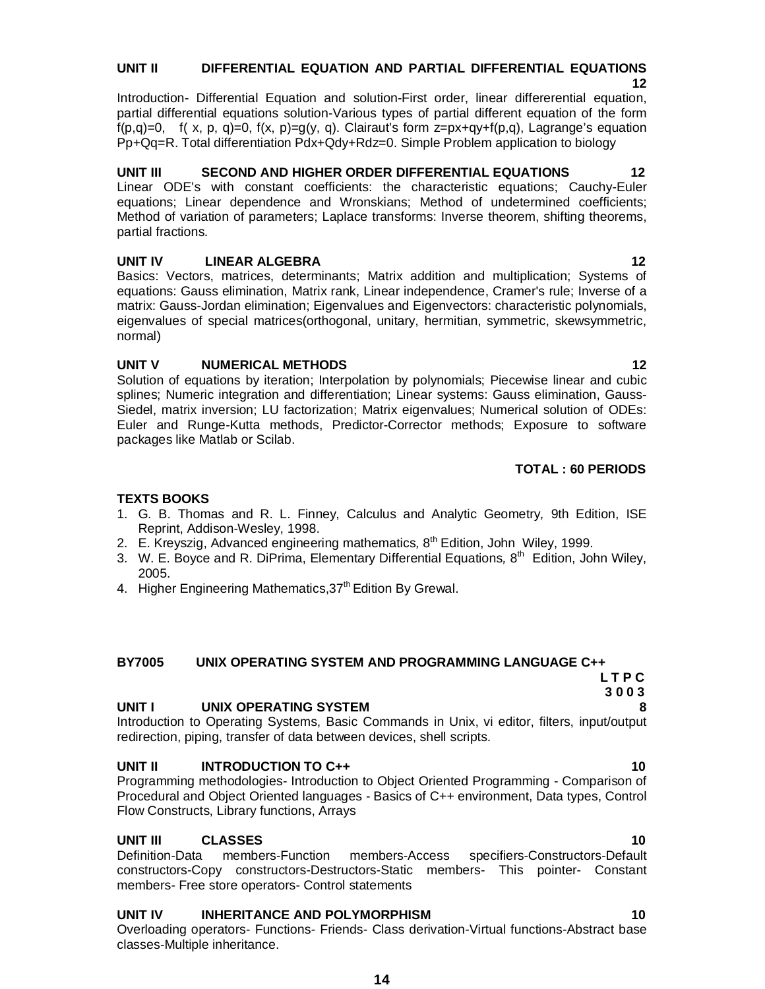# **UNIT II DIFFERENTIAL EQUATION AND PARTIAL DIFFERENTIAL EQUATIONS**

 **12** Introduction- Differential Equation and solution-First order, linear differerential equation, partial differential equations solution-Various types of partial different equation of the form  $f(p,q)=0$ ,  $f(x, p, q)=0$ ,  $f(x, p)=q(y, q)$ . Clairaut's form  $z=px+qy+f(p,q)$ , Lagrange's equation Pp+Qq=R. Total differentiation Pdx+Qdy+Rdz=0. Simple Problem application to biology

**UNIT III SECOND AND HIGHER ORDER DIFFERENTIAL EQUATIONS 12** Linear ODE's with constant coefficients: the characteristic equations; Cauchy-Euler equations; Linear dependence and Wronskians; Method of undetermined coefficients; Method of variation of parameters; Laplace transforms: Inverse theorem, shifting theorems, partial fractions.

# **UNIT IV LINEAR ALGEBRA** 12

Basics: Vectors, matrices, determinants; Matrix addition and multiplication; Systems of equations: Gauss elimination, Matrix rank, Linear independence, Cramer's rule; Inverse of a matrix: Gauss-Jordan elimination; Eigenvalues and Eigenvectors: characteristic polynomials, eigenvalues of special matrices(orthogonal, unitary, hermitian, symmetric, skewsymmetric, normal)

# **UNIT V NUMERICAL METHODS** 12

Solution of equations by iteration; Interpolation by polynomials; Piecewise linear and cubic splines; Numeric integration and differentiation; Linear systems: Gauss elimination, Gauss-Siedel, matrix inversion; LU factorization; Matrix eigenvalues; Numerical solution of ODEs: Euler and Runge-Kutta methods, Predictor-Corrector methods; Exposure to software packages like Matlab or Scilab.

# **TOTAL : 60 PERIODS**

# **TEXTS BOOKS**

- 1. G. B. Thomas and R. L. Finney, Calculus and Analytic Geometry*,* 9th Edition, ISE Reprint, Addison-Wesley, 1998.
- 2. E. Kreyszig, Advanced engineering mathematics*,* 8 th Edition, John Wiley, 1999.
- 3. W. E. Boyce and R. DiPrima, Elementary Differential Equations*,* 8 th Edition, John Wiley, 2005.
- 4. Higher Engineering Mathematics, 37<sup>th</sup> Edition By Grewal.

# **BY7005 UNIX OPERATING SYSTEM AND PROGRAMMING LANGUAGE C++**

### **3 0 0 3 UNIT I UNIX OPERATING SYSTEM**

Introduction to Operating Systems, Basic Commands in Unix, vi editor, filters, input/output redirection, piping, transfer of data between devices, shell scripts.

# **UNIT II** INTRODUCTION TO C++ 10 **10 10**

Programming methodologies- Introduction to Object Oriented Programming - Comparison of Procedural and Object Oriented languages - Basics of C++ environment, Data types, Control Flow Constructs, Library functions, Arrays

# **UNIT III CLASSES 10**

Definition-Data members-Function members-Access specifiers-Constructors-Default constructors-Copy constructors-Destructors-Static members- This pointer- Constant members- Free store operators- Control statements

# **UNIT IV INHERITANCE AND POLYMORPHISM 10**

Overloading operators- Functions- Friends- Class derivation-Virtual functions-Abstract base classes-Multiple inheritance.

# **L T P C**

- -
	-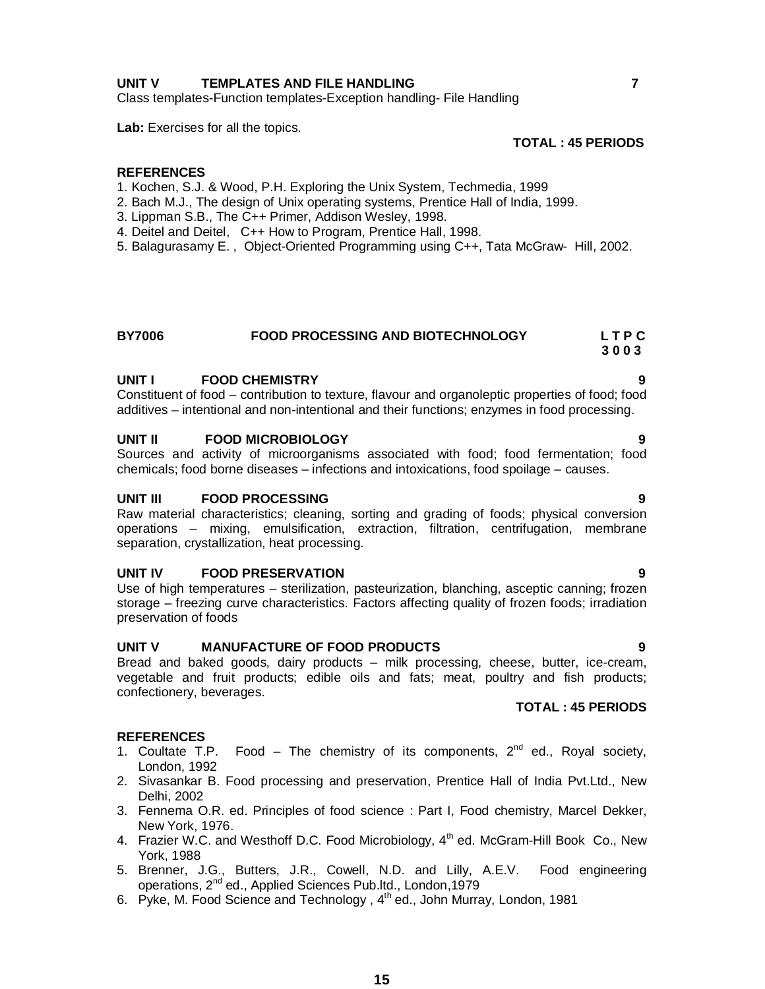# **UNIT V TEMPLATES AND FILE HANDLING 7**

Class templates-Function templates-Exception handling- File Handling

Lab: Exercises for all the topics.

### **REFERENCES**

- 1. Kochen, S.J. & Wood, P.H. Exploring the Unix System, Techmedia, 1999
- 2. Bach M.J., The design of Unix operating systems, Prentice Hall of India, 1999.
- 3. Lippman S.B., The C++ Primer, Addison Wesley, 1998.
- 4. Deitel and Deitel, C++ How to Program, Prentice Hall, 1998.
- 5. Balagurasamy E. , Object-Oriented Programming using C++, Tata McGraw- Hill, 2002.

### **BY7006 FOOD PROCESSING AND BIOTECHNOLOGY L T P C 3 0 0 3**

### **UNIT I FOOD CHEMISTRY 9**

Constituent of food – contribution to texture, flavour and organoleptic properties of food; food additives – intentional and non-intentional and their functions; enzymes in food processing.

### **UNIT II FOOD MICROBIOLOGY**

Sources and activity of microorganisms associated with food; food fermentation; food chemicals; food borne diseases – infections and intoxications, food spoilage – causes.

### **UNIT III FOOD PROCESSING 9**

Raw material characteristics; cleaning, sorting and grading of foods; physical conversion operations – mixing, emulsification, extraction, filtration, centrifugation, membrane separation, crystallization, heat processing.

### **UNIT IV FOOD PRESERVATION 9**

Use of high temperatures – sterilization, pasteurization, blanching, asceptic canning; frozen storage – freezing curve characteristics. Factors affecting quality of frozen foods; irradiation preservation of foods

### **UNIT V MANUFACTURE OF FOOD PRODUCTS 9**

Bread and baked goods, dairy products – milk processing, cheese, butter, ice-cream, vegetable and fruit products; edible oils and fats; meat, poultry and fish products; confectionery, beverages.

### **TOTAL : 45 PERIODS**

- 1. Coultate T.P. Food The chemistry of its components,  $2^{nd}$  ed., Royal society, London, 1992
- 2. Sivasankar B. Food processing and preservation, Prentice Hall of India Pvt.Ltd., New Delhi, 2002
- 3. Fennema O.R. ed. Principles of food science : Part I, Food chemistry, Marcel Dekker, New York, 1976.
- 4. Frazier W.C. and Westhoff D.C. Food Microbiology, 4<sup>th</sup> ed. McGram-Hill Book Co., New York, 1988
- 5. Brenner, J.G., Butters, J.R., Cowell, N.D. and Lilly, A.E.V. Food engineering operations, 2<sup>nd</sup> ed., Applied Sciences Pub.ltd., London, 1979
- 6. Pyke, M. Food Science and Technology, 4<sup>th</sup> ed., John Murray, London, 1981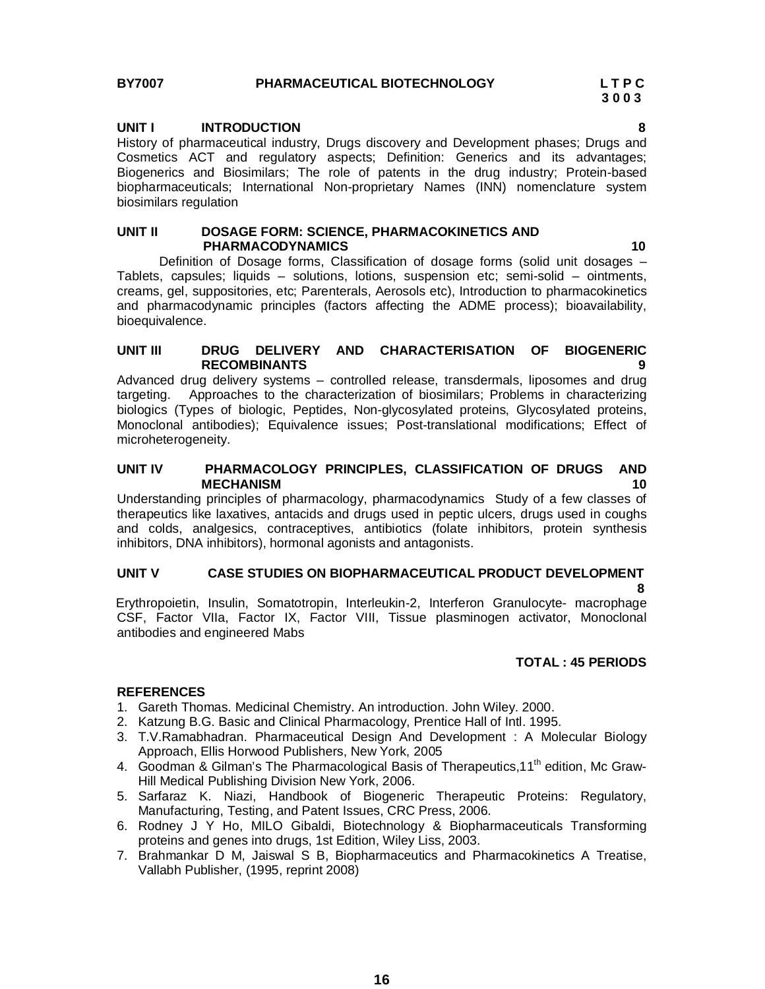### **UNIT I INTRODUCTION 8**

History of pharmaceutical industry, Drugs discovery and Development phases; Drugs and Cosmetics ACT and regulatory aspects; Definition: Generics and its advantages; Biogenerics and Biosimilars; The role of patents in the drug industry; Protein-based biopharmaceuticals; International Non-proprietary Names (INN) nomenclature system biosimilars regulation

### **UNIT II DOSAGE FORM: SCIENCE, PHARMACOKINETICS AND PHARMACODYNAMICS 10**

Definition of Dosage forms, Classification of dosage forms (solid unit dosages – Tablets, capsules; liquids – solutions, lotions, suspension etc; semi-solid – ointments, creams, gel, suppositories, etc; Parenterals, Aerosols etc), Introduction to pharmacokinetics and pharmacodynamic principles (factors affecting the ADME process); bioavailability, bioequivalence.

### **UNIT III DRUG DELIVERY AND CHARACTERISATION OF BIOGENERIC RECOMBINANTS 9**

Advanced drug delivery systems – controlled release, transdermals, liposomes and drug targeting. Approaches to the characterization of biosimilars; Problems in characterizing biologics (Types of biologic, Peptides, Non-glycosylated proteins, Glycosylated proteins, Monoclonal antibodies); Equivalence issues; Post-translational modifications; Effect of microheterogeneity.

### **UNIT IV PHARMACOLOGY PRINCIPLES, CLASSIFICATION OF DRUGS AND MECHANISM 10**

Understanding principles of pharmacology, pharmacodynamics Study of a few classes of therapeutics like laxatives, antacids and drugs used in peptic ulcers, drugs used in coughs and colds, analgesics, contraceptives, antibiotics (folate inhibitors, protein synthesis inhibitors, DNA inhibitors), hormonal agonists and antagonists.

### **UNIT V CASE STUDIES ON BIOPHARMACEUTICAL PRODUCT DEVELOPMENT**

 **8** Erythropoietin, Insulin, Somatotropin, Interleukin-2, Interferon Granulocyte- macrophage CSF, Factor VIIa, Factor IX, Factor VIII, Tissue plasminogen activator, Monoclonal antibodies and engineered Mabs

### **TOTAL : 45 PERIODS**

- 1. Gareth Thomas. Medicinal Chemistry. An introduction. John Wiley. 2000.
- 2. Katzung B.G. Basic and Clinical Pharmacology, Prentice Hall of Intl. 1995.
- 3. T.V.Ramabhadran. Pharmaceutical Design And Development : A Molecular Biology Approach, Ellis Horwood Publishers, New York, 2005
- 4. Goodman & Gilman's The Pharmacological Basis of Therapeutics, 11<sup>th</sup> edition, Mc Graw-Hill Medical Publishing Division New York, 2006.
- 5. Sarfaraz K. Niazi, Handbook of Biogeneric Therapeutic Proteins: Regulatory, Manufacturing, Testing, and Patent Issues, CRC Press, 2006.
- 6. Rodney J Y Ho, MILO Gibaldi, Biotechnology & Biopharmaceuticals Transforming proteins and genes into drugs, 1st Edition, Wiley Liss, 2003.
- 7. Brahmankar D M, Jaiswal S B, Biopharmaceutics and Pharmacokinetics A Treatise, Vallabh Publisher, (1995, reprint 2008)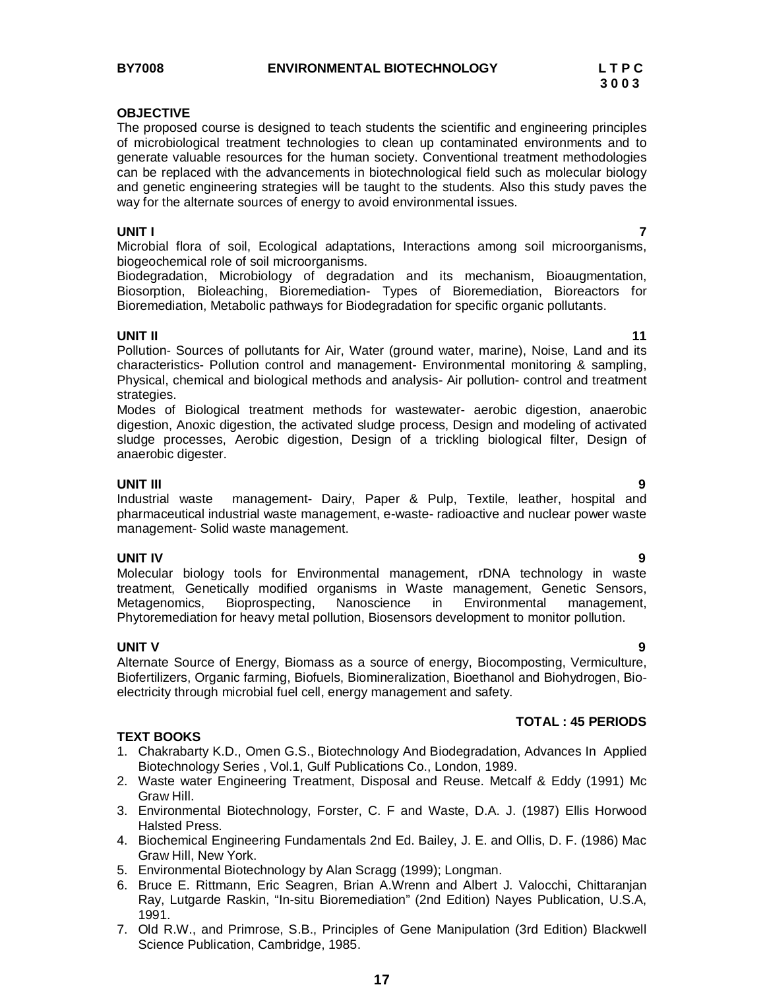### **OBJECTIVE**

The proposed course is designed to teach students the scientific and engineering principles of microbiological treatment technologies to clean up contaminated environments and to generate valuable resources for the human society. Conventional treatment methodologies can be replaced with the advancements in biotechnological field such as molecular biology and genetic engineering strategies will be taught to the students. Also this study paves the way for the alternate sources of energy to avoid environmental issues.

### **UNIT I 7**

Microbial flora of soil, Ecological adaptations, Interactions among soil microorganisms, biogeochemical role of soil microorganisms.

Biodegradation, Microbiology of degradation and its mechanism, Bioaugmentation, Biosorption, Bioleaching, Bioremediation- Types of Bioremediation, Bioreactors for Bioremediation, Metabolic pathways for Biodegradation for specific organic pollutants.

**UNIT II** 11 Pollution- Sources of pollutants for Air, Water (ground water, marine), Noise, Land and its characteristics- Pollution control and management- Environmental monitoring & sampling, Physical, chemical and biological methods and analysis- Air pollution- control and treatment strategies.

Modes of Biological treatment methods for wastewater- aerobic digestion, anaerobic digestion, Anoxic digestion, the activated sludge process, Design and modeling of activated sludge processes, Aerobic digestion, Design of a trickling biological filter, Design of anaerobic digester.

### **UNIT III 9**

Industrial waste management- Dairy, Paper & Pulp, Textile, leather, hospital and pharmaceutical industrial waste management, e-waste- radioactive and nuclear power waste management- Solid waste management.

**UNIT IV 9** Molecular biology tools for Environmental management, rDNA technology in waste treatment, Genetically modified organisms in Waste management, Genetic Sensors, Metagenomics, Bioprospecting, Nanoscience in Environmental management, Phytoremediation for heavy metal pollution, Biosensors development to monitor pollution.

**UNIT V 9** Alternate Source of Energy, Biomass as a source of energy, Biocomposting, Vermiculture, Biofertilizers, Organic farming, Biofuels, Biomineralization, Bioethanol and Biohydrogen, Bioelectricity through microbial fuel cell, energy management and safety.

### **TEXT BOOKS**

- 1. Chakrabarty K.D., Omen G.S., Biotechnology And Biodegradation, Advances In Applied Biotechnology Series , Vol.1, Gulf Publications Co., London, 1989.
- 2. Waste water Engineering Treatment, Disposal and Reuse. Metcalf & Eddy (1991) Mc Graw Hill.
- 3. Environmental Biotechnology, Forster, C. F and Waste, D.A. J. (1987) Ellis Horwood Halsted Press.
- 4. Biochemical Engineering Fundamentals 2nd Ed. Bailey, J. E. and Ollis, D. F. (1986) Mac Graw Hill, New York.
- 5. Environmental Biotechnology by Alan Scragg (1999); Longman.
- 6. Bruce E. Rittmann, Eric Seagren, Brian A.Wrenn and Albert J. Valocchi, Chittaranjan Ray, Lutgarde Raskin, "In-situ Bioremediation" (2nd Edition) Nayes Publication, U.S.A, 1991.
- 7. Old R.W., and Primrose, S.B., Principles of Gene Manipulation (3rd Edition) Blackwell Science Publication, Cambridge, 1985.

**TOTAL : 45 PERIODS**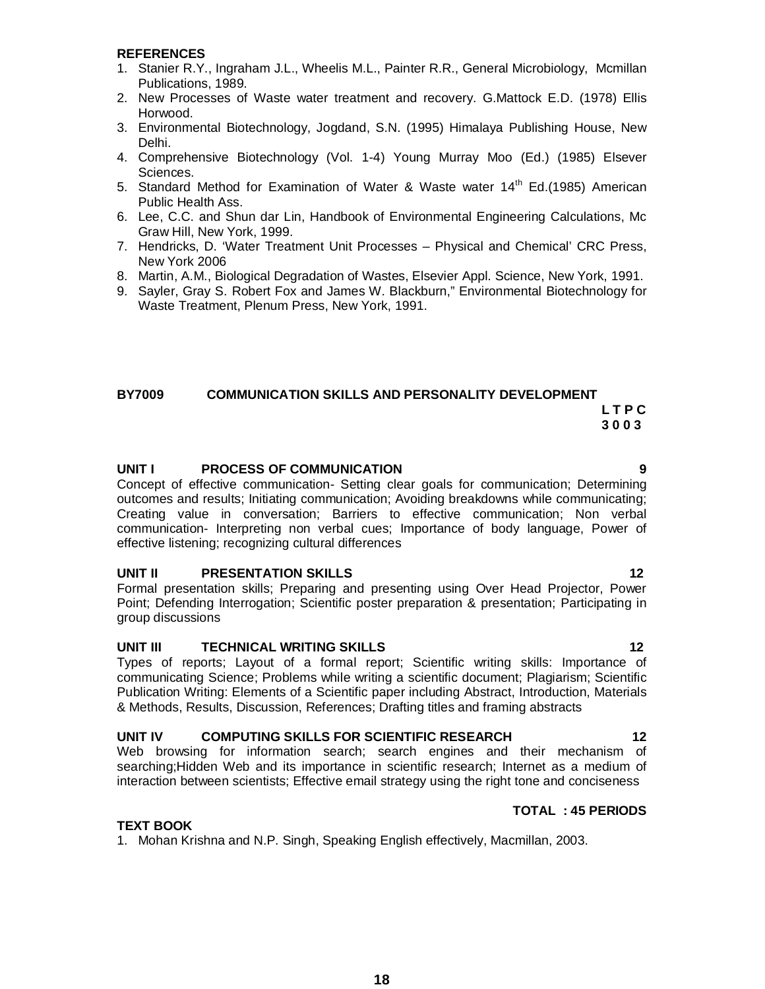### **REFERENCES**

- 1. Stanier R.Y., Ingraham J.L., Wheelis M.L., Painter R.R., General Microbiology, Mcmillan Publications, 1989.
- 2. New Processes of Waste water treatment and recovery. G.Mattock E.D. (1978) Ellis Horwood.
- 3. Environmental Biotechnology, Jogdand, S.N. (1995) Himalaya Publishing House, New Delhi.
- 4. Comprehensive Biotechnology (Vol. 1-4) Young Murray Moo (Ed.) (1985) Elsever Sciences.
- 5. Standard Method for Examination of Water & Waste water 14<sup>th</sup> Ed.(1985) American Public Health Ass.
- 6. Lee, C.C. and Shun dar Lin, Handbook of Environmental Engineering Calculations, Mc Graw Hill, New York, 1999.
- 7. Hendricks, D. 'Water Treatment Unit Processes Physical and Chemical' CRC Press, New York 2006
- 8. Martin, A.M., Biological Degradation of Wastes, Elsevier Appl. Science, New York, 1991.
- 9. Sayler, Gray S. Robert Fox and James W. Blackburn," Environmental Biotechnology for Waste Treatment, Plenum Press, New York, 1991.

# **BY7009 COMMUNICATION SKILLS AND PERSONALITY DEVELOPMENT**

### *LTPC*  **3 0 0 3**

### **UNIT I PROCESS OF COMMUNICATION 9**

Concept of effective communication- Setting clear goals for communication; Determining outcomes and results; Initiating communication; Avoiding breakdowns while communicating; Creating value in conversation; Barriers to effective communication; Non verbal communication- Interpreting non verbal cues; Importance of body language, Power of effective listening; recognizing cultural differences

### **UNIT II PRESENTATION SKILLS 12**

Formal presentation skills; Preparing and presenting using Over Head Projector, Power Point; Defending Interrogation; Scientific poster preparation & presentation; Participating in group discussions

### **UNIT III TECHNICAL WRITING SKILLS 12**

Types of reports; Layout of a formal report; Scientific writing skills: Importance of communicating Science; Problems while writing a scientific document; Plagiarism; Scientific Publication Writing: Elements of a Scientific paper including Abstract, Introduction, Materials & Methods, Results, Discussion, References; Drafting titles and framing abstracts

### UNIT IV COMPUTING SKILLS FOR SCIENTIFIC RESEARCH 12

Web browsing for information search; search engines and their mechanism of searching;Hidden Web and its importance in scientific research; Internet as a medium of interaction between scientists; Effective email strategy using the right tone and conciseness

### **TOTAL : 45 PERIODS**

### **TEXT BOOK**

1. Mohan Krishna and N.P. Singh, Speaking English effectively, Macmillan, 2003.

# **18**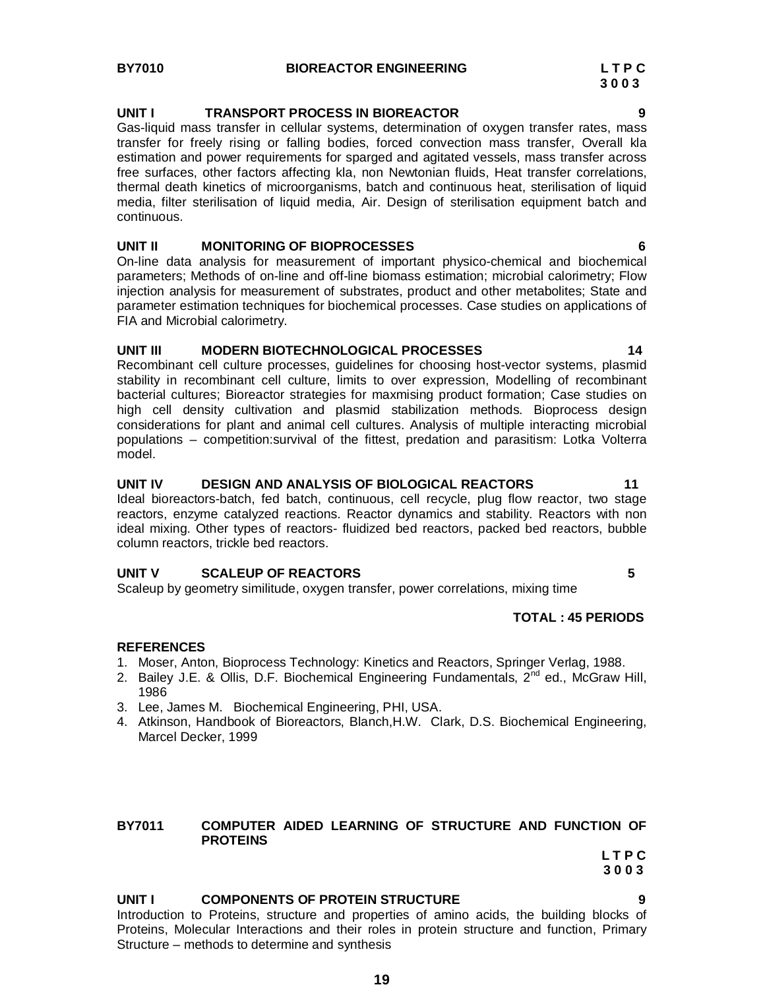### **BY7010 BIOREACTOR ENGINEERING L T P C**

 **3 0 0 3**

### **UNIT I TRANSPORT PROCESS IN BIOREACTOR 9**

Gas-liquid mass transfer in cellular systems, determination of oxygen transfer rates, mass transfer for freely rising or falling bodies, forced convection mass transfer, Overall kla estimation and power requirements for sparged and agitated vessels, mass transfer across free surfaces, other factors affecting kla, non Newtonian fluids, Heat transfer correlations, thermal death kinetics of microorganisms, batch and continuous heat, sterilisation of liquid media, filter sterilisation of liquid media, Air. Design of sterilisation equipment batch and continuous.

### **UNIT II MONITORING OF BIOPROCESSES 6**

On-line data analysis for measurement of important physico-chemical and biochemical parameters; Methods of on-line and off-line biomass estimation; microbial calorimetry; Flow injection analysis for measurement of substrates, product and other metabolites; State and parameter estimation techniques for biochemical processes. Case studies on applications of FIA and Microbial calorimetry.

### **UNIT III MODERN BIOTECHNOLOGICAL PROCESSES 14**

Recombinant cell culture processes, guidelines for choosing host-vector systems, plasmid stability in recombinant cell culture, limits to over expression, Modelling of recombinant bacterial cultures; Bioreactor strategies for maxmising product formation; Case studies on high cell density cultivation and plasmid stabilization methods. Bioprocess design considerations for plant and animal cell cultures. Analysis of multiple interacting microbial populations – competition:survival of the fittest, predation and parasitism: Lotka Volterra model.

### **UNIT IV DESIGN AND ANALYSIS OF BIOLOGICAL REACTORS 11**

Ideal bioreactors-batch, fed batch, continuous, cell recycle, plug flow reactor, two stage reactors, enzyme catalyzed reactions. Reactor dynamics and stability. Reactors with non ideal mixing. Other types of reactors- fluidized bed reactors, packed bed reactors, bubble column reactors, trickle bed reactors.

### **UNIT V SCALEUP OF REACTORS 5**

Scaleup by geometry similitude, oxygen transfer, power correlations, mixing time

### **TOTAL : 45 PERIODS**

### **REFERENCES**

- 1. Moser, Anton, Bioprocess Technology: Kinetics and Reactors, Springer Verlag, 1988.
- 2. Bailey J.E. & Ollis, D.F. Biochemical Engineering Fundamentals,  $2^{nd}$  ed., McGraw Hill, 1986
- 3. Lee, James M. Biochemical Engineering, PHI, USA.
- 4. Atkinson, Handbook of Bioreactors, Blanch,H.W. Clark, D.S. Biochemical Engineering, Marcel Decker, 1999

### **BY7011 COMPUTER AIDED LEARNING OF STRUCTURE AND FUNCTION OF PROTEINS**

*LTPC*  **3 0 0 3**

### **UNIT I COMPONENTS OF PROTEIN STRUCTURE 9**

Introduction to Proteins, structure and properties of amino acids, the building blocks of Proteins, Molecular Interactions and their roles in protein structure and function, Primary Structure – methods to determine and synthesis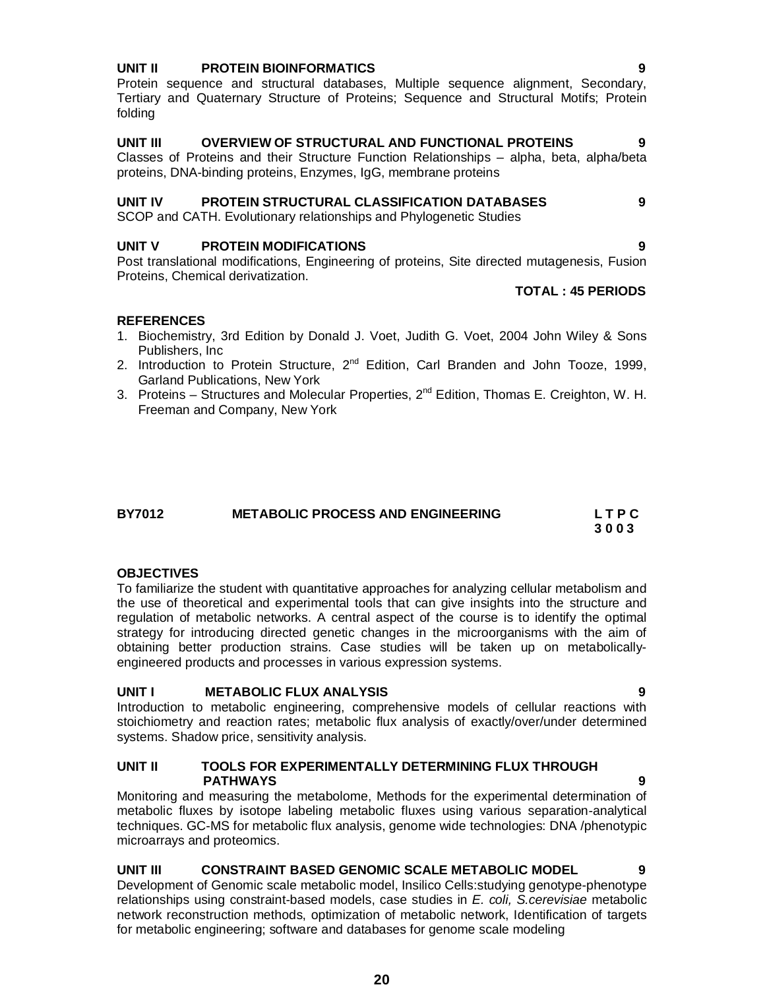### **UNIT II PROTEIN BIOINFORMATICS 9**

Protein sequence and structural databases, Multiple sequence alignment, Secondary, Tertiary and Quaternary Structure of Proteins; Sequence and Structural Motifs; Protein folding

### **UNIT III OVERVIEW OF STRUCTURAL AND FUNCTIONAL PROTEINS 9**

Classes of Proteins and their Structure Function Relationships – alpha, beta, alpha/beta proteins, DNA-binding proteins, Enzymes, IgG, membrane proteins

### **UNIT IV PROTEIN STRUCTURAL CLASSIFICATION DATABASES 9**

SCOP and CATH. Evolutionary relationships and Phylogenetic Studies

### **UNIT V PROTEIN MODIFICATIONS 9**

Post translational modifications, Engineering of proteins, Site directed mutagenesis, Fusion Proteins, Chemical derivatization.

### **TOTAL : 45 PERIODS**

### **REFERENCES**

- 1. Biochemistry, 3rd Edition by Donald J. Voet, Judith G. Voet, 2004 John Wiley & Sons Publishers, Inc
- 2. Introduction to Protein Structure, 2<sup>nd</sup> Edition, Carl Branden and John Tooze, 1999, Garland Publications, New York
- 3. Proteins Structures and Molecular Properties,  $2^{nd}$  Edition, Thomas E. Creighton, W. H. Freeman and Company, New York

| <b>BY7012</b> | <b>METABOLIC PROCESS AND ENGINEERING</b> | LTPC |
|---------------|------------------------------------------|------|
|               |                                          | 3003 |

### **OBJECTIVES**

To familiarize the student with quantitative approaches for analyzing cellular metabolism and the use of theoretical and experimental tools that can give insights into the structure and regulation of metabolic networks. A central aspect of the course is to identify the optimal strategy for introducing directed genetic changes in the microorganisms with the aim of obtaining better production strains. Case studies will be taken up on metabolicallyengineered products and processes in various expression systems.

### **UNIT I METABOLIC FLUX ANALYSIS 9**

Introduction to metabolic engineering, comprehensive models of cellular reactions with stoichiometry and reaction rates; metabolic flux analysis of exactly/over/under determined systems. Shadow price, sensitivity analysis.

### **UNIT II TOOLS FOR EXPERIMENTALLY DETERMINING FLUX THROUGH PATHWAYS 9**

Monitoring and measuring the metabolome, Methods for the experimental determination of metabolic fluxes by isotope labeling metabolic fluxes using various separation-analytical techniques. GC-MS for metabolic flux analysis, genome wide technologies: DNA /phenotypic microarrays and proteomics.

### **UNIT III CONSTRAINT BASED GENOMIC SCALE METABOLIC MODEL 9**

Development of Genomic scale metabolic model, Insilico Cells:studying genotype-phenotype relationships using constraint-based models, case studies in *E. coli, S.cerevisiae* metabolic network reconstruction methods, optimization of metabolic network, Identification of targets for metabolic engineering; software and databases for genome scale modeling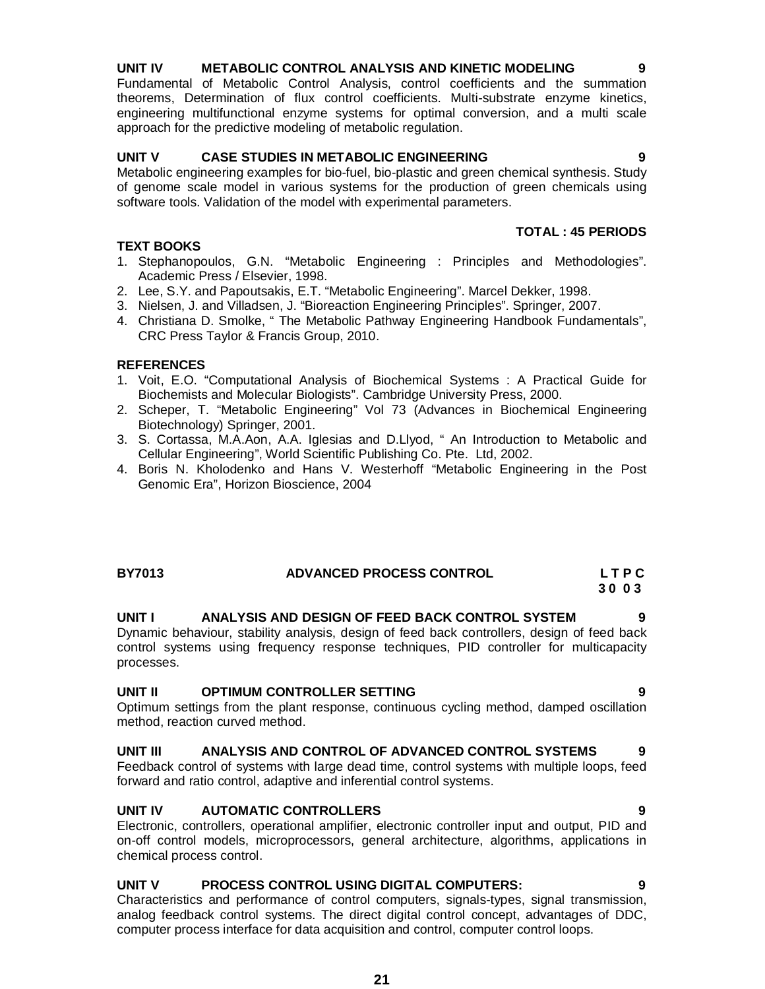### **UNIT IV METABOLIC CONTROL ANALYSIS AND KINETIC MODELING 9**

Fundamental of Metabolic Control Analysis, control coefficients and the summation theorems, Determination of flux control coefficients. Multi-substrate enzyme kinetics, engineering multifunctional enzyme systems for optimal conversion, and a multi scale approach for the predictive modeling of metabolic regulation.

### **UNIT V CASE STUDIES IN METABOLIC ENGINEERING 9**

Metabolic engineering examples for bio-fuel, bio-plastic and green chemical synthesis. Study of genome scale model in various systems for the production of green chemicals using software tools. Validation of the model with experimental parameters.

### **TEXT BOOKS**

- 1. Stephanopoulos, G.N. "Metabolic Engineering : Principles and Methodologies". Academic Press / Elsevier, 1998.
- 2. Lee, S.Y. and Papoutsakis, E.T. "Metabolic Engineering". Marcel Dekker, 1998.
- 3. Nielsen, J. and Villadsen, J. "Bioreaction Engineering Principles". Springer, 2007.
- 4. Christiana D. Smolke, " The Metabolic Pathway Engineering Handbook Fundamentals", CRC Press Taylor & Francis Group, 2010.

### **REFERENCES**

- 1. Voit, E.O. "Computational Analysis of Biochemical Systems : A Practical Guide for Biochemists and Molecular Biologists". Cambridge University Press, 2000.
- 2. Scheper, T. "Metabolic Engineering" Vol 73 (Advances in Biochemical Engineering Biotechnology) Springer, 2001.
- 3. S. Cortassa, M.A.Aon, A.A. Iglesias and D.Llyod, " An Introduction to Metabolic and Cellular Engineering", World Scientific Publishing Co. Pte. Ltd, 2002.
- 4. Boris N. Kholodenko and Hans V. Westerhoff "Metabolic Engineering in the Post Genomic Era", Horizon Bioscience, 2004

### **BY7013 ADVANCED PROCESS CONTROL L T P C 3 0 0 3**

# **UNIT I ANALYSIS AND DESIGN OF FEED BACK CONTROL SYSTEM 9**

Dynamic behaviour, stability analysis, design of feed back controllers, design of feed back control systems using frequency response techniques, PID controller for multicapacity processes.

### **UNIT II OPTIMUM CONTROLLER SETTING 9**

Optimum settings from the plant response, continuous cycling method, damped oscillation method, reaction curved method.

### **UNIT III ANALYSIS AND CONTROL OF ADVANCED CONTROL SYSTEMS 9**

Feedback control of systems with large dead time, control systems with multiple loops, feed forward and ratio control, adaptive and inferential control systems.

### **UNIT IV AUTOMATIC CONTROLLERS 9**

Electronic, controllers, operational amplifier, electronic controller input and output, PID and on-off control models, microprocessors, general architecture, algorithms, applications in chemical process control.

### **UNIT V PROCESS CONTROL USING DIGITAL COMPUTERS: 9**

Characteristics and performance of control computers, signals-types, signal transmission, analog feedback control systems. The direct digital control concept, advantages of DDC, computer process interface for data acquisition and control, computer control loops.

**TOTAL : 45 PERIODS**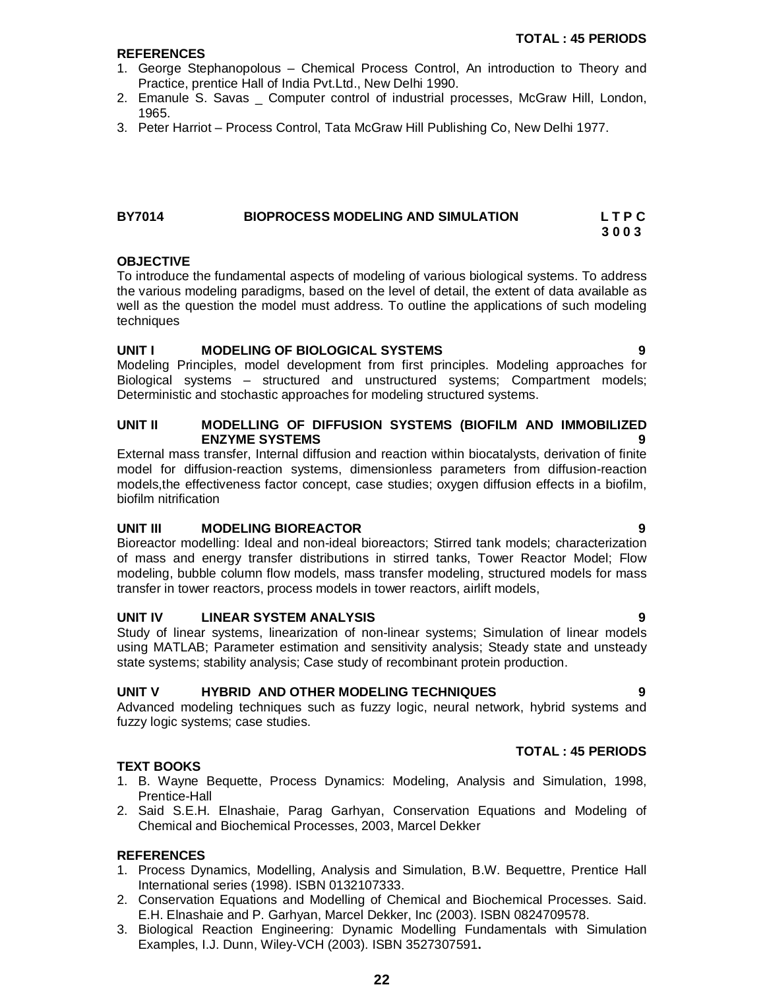### **REFERENCES**

- 1. George Stephanopolous Chemical Process Control, An introduction to Theory and Practice, prentice Hall of India Pvt.Ltd., New Delhi 1990.
- 2. Emanule S. Savas \_ Computer control of industrial processes, McGraw Hill, London, 1965.
- 3. Peter Harriot Process Control, Tata McGraw Hill Publishing Co, New Delhi 1977.

### **BY7014 BIOPROCESS MODELING AND SIMULATION L T P C 3 0 0 3**

### **OBJECTIVE**

To introduce the fundamental aspects of modeling of various biological systems. To address the various modeling paradigms, based on the level of detail, the extent of data available as well as the question the model must address. To outline the applications of such modeling techniques

### **UNIT I MODELING OF BIOLOGICAL SYSTEMS 9**

Modeling Principles, model development from first principles. Modeling approaches for Biological systems – structured and unstructured systems; Compartment models; Deterministic and stochastic approaches for modeling structured systems.

### **UNIT II MODELLING OF DIFFUSION SYSTEMS (BIOFILM AND IMMOBILIZED ENZYME SYSTEMS 9**

External mass transfer, Internal diffusion and reaction within biocatalysts, derivation of finite model for diffusion-reaction systems, dimensionless parameters from diffusion-reaction models,the effectiveness factor concept, case studies; oxygen diffusion effects in a biofilm, biofilm nitrification

### **UNIT III MODELING BIOREACTOR 9**

Bioreactor modelling: Ideal and non-ideal bioreactors; Stirred tank models; characterization of mass and energy transfer distributions in stirred tanks, Tower Reactor Model; Flow modeling, bubble column flow models, mass transfer modeling, structured models for mass transfer in tower reactors, process models in tower reactors, airlift models,

### **UNIT IV LINEAR SYSTEM ANALYSIS 9**

Study of linear systems, linearization of non-linear systems; Simulation of linear models using MATLAB; Parameter estimation and sensitivity analysis; Steady state and unsteady state systems; stability analysis; Case study of recombinant protein production.

### **UNIT V HYBRID AND OTHER MODELING TECHNIQUES 9**

Advanced modeling techniques such as fuzzy logic, neural network, hybrid systems and fuzzy logic systems; case studies.

### **TOTAL : 45 PERIODS**

### **TEXT BOOKS**

- 1. B. Wayne Bequette, Process Dynamics: Modeling, Analysis and Simulation, 1998, Prentice-Hall
- 2. Said S.E.H. Elnashaie, Parag Garhyan, Conservation Equations and Modeling of Chemical and Biochemical Processes, 2003, Marcel Dekker

- 1. Process Dynamics, Modelling, Analysis and Simulation, B.W. Bequettre, Prentice Hall International series (1998). ISBN 0132107333.
- 2. Conservation Equations and Modelling of Chemical and Biochemical Processes. Said. E.H. Elnashaie and P. Garhyan, Marcel Dekker, Inc (2003). ISBN 0824709578.
- 3. Biological Reaction Engineering: Dynamic Modelling Fundamentals with Simulation Examples, I.J. Dunn, Wiley-VCH (2003). ISBN 3527307591**.**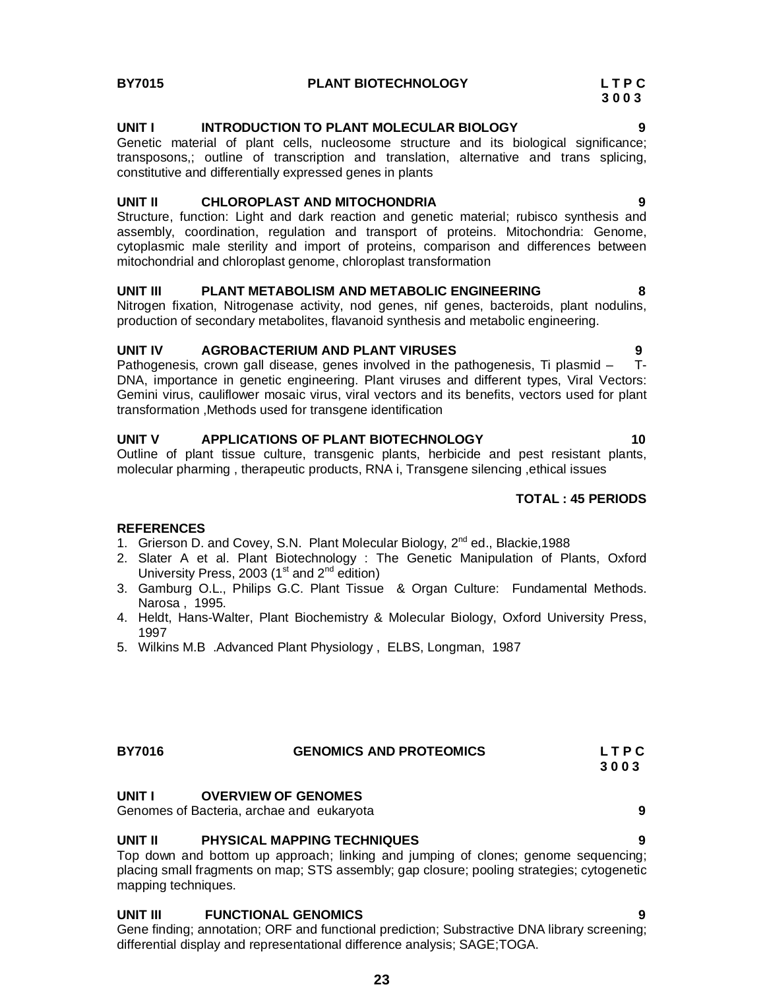## **UNIT I INTRODUCTION TO PLANT MOLECULAR BIOLOGY 9**

Genetic material of plant cells, nucleosome structure and its biological significance; transposons,; outline of transcription and translation, alternative and trans splicing, constitutive and differentially expressed genes in plants

### **UNIT II CHLOROPLAST AND MITOCHONDRIA 9**

Structure, function: Light and dark reaction and genetic material; rubisco synthesis and assembly, coordination, regulation and transport of proteins. Mitochondria: Genome, cytoplasmic male sterility and import of proteins, comparison and differences between mitochondrial and chloroplast genome, chloroplast transformation

### **UNIT III PLANT METABOLISM AND METABOLIC ENGINEERING 8**

Nitrogen fixation, Nitrogenase activity, nod genes, nif genes, bacteroids, plant nodulins, production of secondary metabolites, flavanoid synthesis and metabolic engineering.

**UNIT IV 6GROBACTERIUM AND PLANT VIRUSES** 9<br>Pathogenesis, crown gall disease, genes involved in the pathogenesis. Ti plasmid – T-Pathogenesis, crown gall disease, genes involved in the pathogenesis, Ti plasmid  $-$ DNA, importance in genetic engineering. Plant viruses and different types, Viral Vectors: Gemini virus, cauliflower mosaic virus, viral vectors and its benefits, vectors used for plant transformation ,Methods used for transgene identification

### **UNIT V APPLICATIONS OF PLANT BIOTECHNOLOGY 40**

Outline of plant tissue culture, transgenic plants, herbicide and pest resistant plants, molecular pharming , therapeutic products, RNA i, Transgene silencing ,ethical issues

### **TOTAL : 45 PERIODS**

 **3 0 0 3**

### **REFERENCES**

- 1. Grierson D. and Covey, S.N. Plant Molecular Biology, 2<sup>nd</sup> ed., Blackie, 1988
- 2. Slater A et al. Plant Biotechnology : The Genetic Manipulation of Plants, Oxford University Press, 2003 ( $1<sup>st</sup>$  and  $2<sup>nd</sup>$  edition)
- 3. Gamburg O.L., Philips G.C. Plant Tissue & Organ Culture: Fundamental Methods. Narosa , 1995.
- 4. Heldt, Hans-Walter, Plant Biochemistry & Molecular Biology, Oxford University Press, 1997
- 5. Wilkins M.B .Advanced Plant Physiology , ELBS, Longman, 1987

# **BY7016 GENOMICS AND PROTEOMICS L T P C**

# **UNIT I OVERVIEW OF GENOMES**

Genomes of Bacteria, archae and eukaryota **9**

# **UNIT II PHYSICAL MAPPING TECHNIQUES 9**

Top down and bottom up approach; linking and jumping of clones; genome sequencing; placing small fragments on map; STS assembly; gap closure; pooling strategies; cytogenetic mapping techniques.

### **UNIT III FUNCTIONAL GENOMICS 9**

Gene finding; annotation; ORF and functional prediction; Substractive DNA library screening; differential display and representational difference analysis; SAGE;TOGA.

 **3 0 0 3**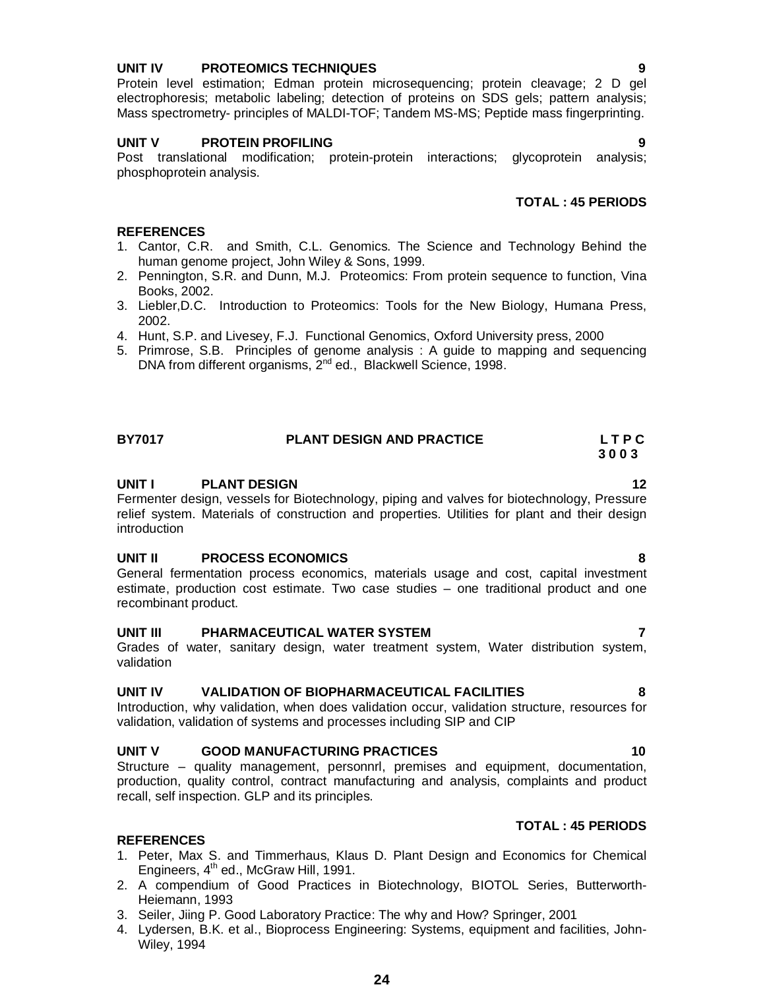## **UNIT IV PROTEOMICS TECHNIQUES 9**

Protein level estimation; Edman protein microsequencing; protein cleavage; 2 D gel electrophoresis; metabolic labeling; detection of proteins on SDS gels; pattern analysis; Mass spectrometry- principles of MALDI-TOF; Tandem MS-MS; Peptide mass fingerprinting.

### **UNIT V PROTEIN PROFILING 9**

Post translational modification; protein-protein interactions; glycoprotein analysis; phosphoprotein analysis.

### **TOTAL : 45 PERIODS**

### **REFERENCES**

- 1. Cantor, C.R. and Smith, C.L. Genomics. The Science and Technology Behind the human genome project, John Wiley & Sons, 1999.
- 2. Pennington, S.R. and Dunn, M.J. Proteomics: From protein sequence to function, Vina Books, 2002.
- 3. Liebler,D.C. Introduction to Proteomics: Tools for the New Biology, Humana Press, 2002.
- 4. Hunt, S.P. and Livesey, F.J. Functional Genomics, Oxford University press, 2000
- 5. Primrose, S.B. Principles of genome analysis : A guide to mapping and sequencing DNA from different organisms, 2<sup>nd</sup> ed., Blackwell Science, 1998.

### **BY7017 PLANT DESIGN AND PRACTICE L T P C 3 0 0 3**

### **UNIT I** PLANT DESIGN 12

Fermenter design, vessels for Biotechnology, piping and valves for biotechnology, Pressure relief system. Materials of construction and properties. Utilities for plant and their design introduction

### **UNIT II PROCESS ECONOMICS 8**

General fermentation process economics, materials usage and cost, capital investment estimate, production cost estimate. Two case studies – one traditional product and one recombinant product.

### **UNIT III PHARMACEUTICAL WATER SYSTEM 7**

Grades of water, sanitary design, water treatment system, Water distribution system, validation

### **UNIT IV VALIDATION OF BIOPHARMACEUTICAL FACILITIES 8**

Introduction, why validation, when does validation occur, validation structure, resources for validation, validation of systems and processes including SIP and CIP

### **UNIT V GOOD MANUFACTURING PRACTICES 10**

Structure – quality management, personnrl, premises and equipment, documentation, production, quality control, contract manufacturing and analysis, complaints and product recall, self inspection. GLP and its principles.

### **REFERENCES**

- 1. Peter, Max S. and Timmerhaus, Klaus D. Plant Design and Economics for Chemical Engineers, 4<sup>th</sup> ed., McGraw Hill, 1991.
- 2. A compendium of Good Practices in Biotechnology, BIOTOL Series, Butterworth-Heiemann, 1993
- 3. Seiler, Jiing P. Good Laboratory Practice: The why and How? Springer, 2001
- 4. Lydersen, B.K. et al., Bioprocess Engineering: Systems, equipment and facilities, John-Wiley, 1994

**TOTAL : 45 PERIODS**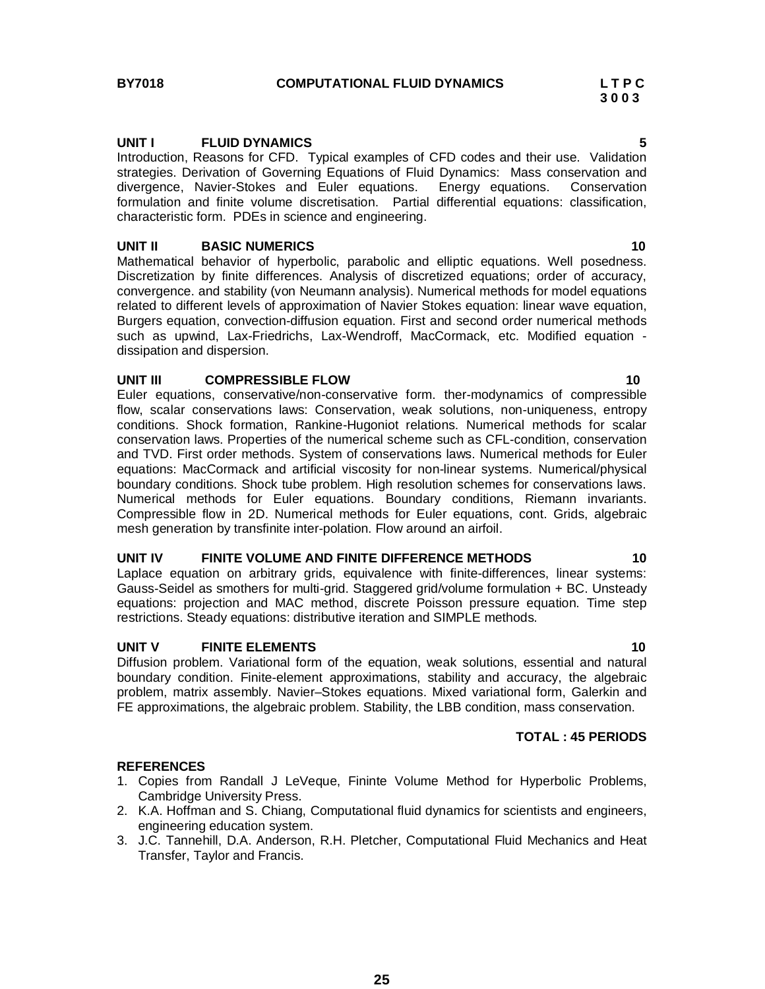### **UNIT I FLUID DYNAMICS 5**

Introduction, Reasons for CFD. Typical examples of CFD codes and their use. Validation strategies. Derivation of Governing Equations of Fluid Dynamics: Mass conservation and divergence, Navier-Stokes and Euler equations. Energy equations. Conservation formulation and finite volume discretisation. Partial differential equations: classification, characteristic form. PDEs in science and engineering.

### **UNIT II BASIC NUMERICS 10**

Mathematical behavior of hyperbolic, parabolic and elliptic equations. Well posedness. Discretization by finite differences. Analysis of discretized equations; order of accuracy, convergence. and stability (von Neumann analysis). Numerical methods for model equations related to different levels of approximation of Navier Stokes equation: linear wave equation, Burgers equation, convection-diffusion equation. First and second order numerical methods such as upwind, Lax-Friedrichs, Lax-Wendroff, MacCormack, etc. Modified equation dissipation and dispersion.

### **UNIT III COMPRESSIBLE FLOW 10**

Euler equations, conservative/non-conservative form. ther-modynamics of compressible flow, scalar conservations laws: Conservation, weak solutions, non-uniqueness, entropy conditions. Shock formation, Rankine-Hugoniot relations. Numerical methods for scalar conservation laws. Properties of the numerical scheme such as CFL-condition, conservation and TVD. First order methods. System of conservations laws. Numerical methods for Euler equations: MacCormack and artificial viscosity for non-linear systems. Numerical/physical boundary conditions. Shock tube problem. High resolution schemes for conservations laws. Numerical methods for Euler equations. Boundary conditions, Riemann invariants. Compressible flow in 2D. Numerical methods for Euler equations, cont. Grids, algebraic mesh generation by transfinite inter-polation. Flow around an airfoil.

### **UNIT IV FINITE VOLUME AND FINITE DIFFERENCE METHODS 10**

Laplace equation on arbitrary grids, equivalence with finite-differences, linear systems: Gauss-Seidel as smothers for multi-grid. Staggered grid/volume formulation + BC. Unsteady equations: projection and MAC method, discrete Poisson pressure equation. Time step restrictions. Steady equations: distributive iteration and SIMPLE methods.

### **UNIT V FINITE ELEMENTS 10**

Diffusion problem. Variational form of the equation, weak solutions, essential and natural boundary condition. Finite-element approximations, stability and accuracy, the algebraic problem, matrix assembly. Navier–Stokes equations. Mixed variational form, Galerkin and FE approximations, the algebraic problem. Stability, the LBB condition, mass conservation.

### **TOTAL : 45 PERIODS**

- 1. Copies from Randall J LeVeque, Fininte Volume Method for Hyperbolic Problems, Cambridge University Press.
- 2. K.A. Hoffman and S. Chiang, Computational fluid dynamics for scientists and engineers, engineering education system.
- 3. J.C. Tannehill, D.A. Anderson, R.H. Pletcher, Computational Fluid Mechanics and Heat Transfer, Taylor and Francis.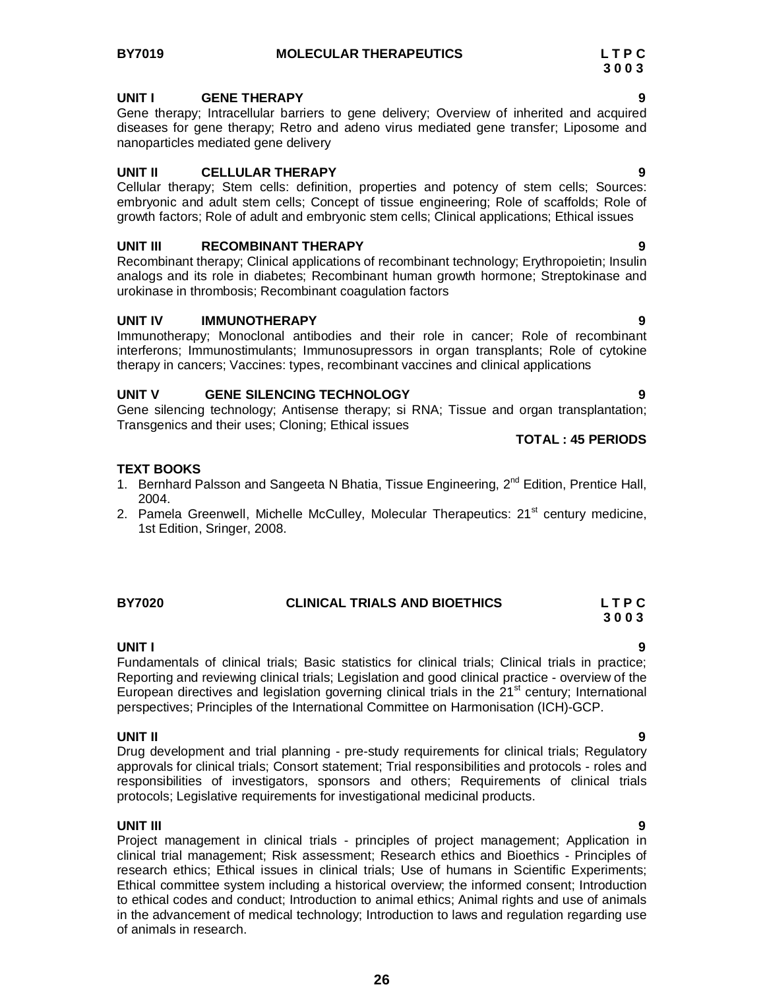### **UNIT I GENE THERAPY 9**

Gene therapy; Intracellular barriers to gene delivery; Overview of inherited and acquired diseases for gene therapy; Retro and adeno virus mediated gene transfer; Liposome and nanoparticles mediated gene delivery

### **UNIT II CELLULAR THERAPY 9**

Cellular therapy; Stem cells: definition, properties and potency of stem cells; Sources: embryonic and adult stem cells; Concept of tissue engineering; Role of scaffolds; Role of growth factors; Role of adult and embryonic stem cells; Clinical applications; Ethical issues

### **UNIT III RECOMBINANT THERAPY 9**

Recombinant therapy; Clinical applications of recombinant technology; Erythropoietin; Insulin analogs and its role in diabetes; Recombinant human growth hormone; Streptokinase and urokinase in thrombosis; Recombinant coagulation factors

### **UNIT IV IMMUNOTHERAPY 9**

Immunotherapy; Monoclonal antibodies and their role in cancer; Role of recombinant interferons; Immunostimulants; Immunosupressors in organ transplants; Role of cytokine therapy in cancers; Vaccines: types, recombinant vaccines and clinical applications

### **UNIT V GENE SILENCING TECHNOLOGY 9**

Gene silencing technology; Antisense therapy; si RNA; Tissue and organ transplantation; Transgenics and their uses; Cloning; Ethical issues

**TOTAL : 45 PERIODS** 

### **TEXT BOOKS**

- 1. Bernhard Palsson and Sangeeta N Bhatia, Tissue Engineering, 2<sup>nd</sup> Edition, Prentice Hall, 2004.
- 2. Pamela Greenwell, Michelle McCulley, Molecular Therapeutics: 21<sup>st</sup> century medicine, 1st Edition, Sringer, 2008.

| BY7020 | <b>CLINICAL TRIALS AND BIOETHICS</b> | LTPC |
|--------|--------------------------------------|------|
|        |                                      | 3003 |

### **UNIT I 9**

Fundamentals of clinical trials; Basic statistics for clinical trials; Clinical trials in practice; Reporting and reviewing clinical trials; Legislation and good clinical practice - overview of the European directives and legislation governing clinical trials in the  $21<sup>st</sup>$  century; International perspectives; Principles of the International Committee on Harmonisation (ICH)-GCP.

### **UNIT II 9**

Drug development and trial planning - pre-study requirements for clinical trials; Regulatory approvals for clinical trials; Consort statement; Trial responsibilities and protocols - roles and responsibilities of investigators, sponsors and others; Requirements of clinical trials protocols; Legislative requirements for investigational medicinal products.

### **UNIT III 9**

Project management in clinical trials - principles of project management; Application in clinical trial management; Risk assessment; Research ethics and Bioethics - Principles of research ethics; Ethical issues in clinical trials; Use of humans in Scientific Experiments; Ethical committee system including a historical overview; the informed consent; Introduction to ethical codes and conduct; Introduction to animal ethics; Animal rights and use of animals in the advancement of medical technology; Introduction to laws and regulation regarding use of animals in research.

**26**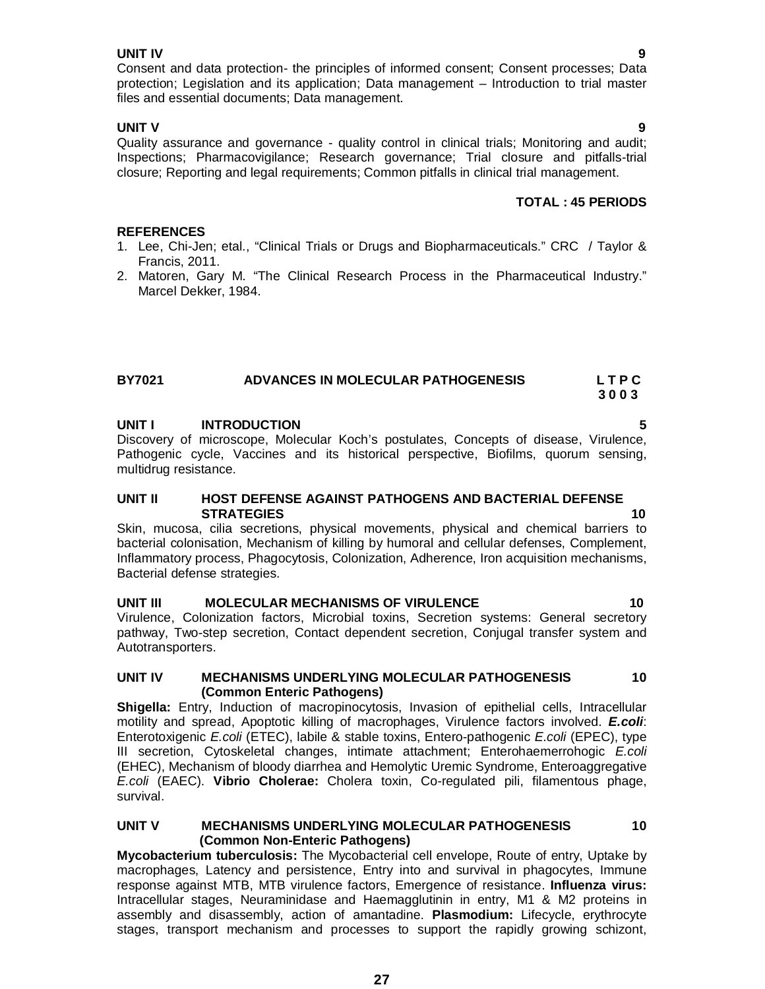### **UNIT IV 9**

Consent and data protection- the principles of informed consent; Consent processes; Data protection; Legislation and its application; Data management – Introduction to trial master files and essential documents; Data management.

**UNIT V 9** Quality assurance and governance - quality control in clinical trials; Monitoring and audit; Inspections; Pharmacovigilance; Research governance; Trial closure and pitfalls-trial closure; Reporting and legal requirements; Common pitfalls in clinical trial management.

## **TOTAL : 45 PERIODS**

## **REFERENCES**

- 1. Lee, Chi-Jen; etal., "Clinical Trials or Drugs and Biopharmaceuticals." CRC / Taylor & Francis, 2011.
- 2. Matoren, Gary M. "The Clinical Research Process in the Pharmaceutical Industry." Marcel Dekker, 1984.

### **BY7021 ADVANCES IN MOLECULAR PATHOGENESIS L T P C 3 0 0 3**

### **UNIT I INTRODUCTION 5**

Discovery of microscope, Molecular Koch's postulates, Concepts of disease, Virulence, Pathogenic cycle, Vaccines and its historical perspective, Biofilms, quorum sensing, multidrug resistance.

### **UNIT II HOST DEFENSE AGAINST PATHOGENS AND BACTERIAL DEFENSE STRATEGIES 10**

Skin, mucosa, cilia secretions, physical movements, physical and chemical barriers to bacterial colonisation, Mechanism of killing by humoral and cellular defenses, Complement, Inflammatory process, Phagocytosis, Colonization, Adherence, Iron acquisition mechanisms, Bacterial defense strategies.

# **UNIT III MOLECULAR MECHANISMS OF VIRULENCE 10**

Virulence, Colonization factors, Microbial toxins, Secretion systems: General secretory pathway, Two-step secretion, Contact dependent secretion, Conjugal transfer system and Autotransporters.

### **UNIT IV MECHANISMS UNDERLYING MOLECULAR PATHOGENESIS 10 (Common Enteric Pathogens)**

**Shigella:** Entry, Induction of macropinocytosis, Invasion of epithelial cells, Intracellular motility and spread, Apoptotic killing of macrophages, Virulence factors involved. *E.coli*: Enterotoxigenic *E.coli* (ETEC), labile & stable toxins, Entero-pathogenic *E.coli* (EPEC), type III secretion, Cytoskeletal changes, intimate attachment; Enterohaemerrohogic *E.coli* (EHEC), Mechanism of bloody diarrhea and Hemolytic Uremic Syndrome, Enteroaggregative *E.coli* (EAEC). **Vibrio Cholerae:** Cholera toxin, Co-regulated pili, filamentous phage, survival.

### **UNIT V MECHANISMS UNDERLYING MOLECULAR PATHOGENESIS 10 (Common Non-Enteric Pathogens)**

**Mycobacterium tuberculosis:** The Mycobacterial cell envelope, Route of entry, Uptake by macrophages, Latency and persistence, Entry into and survival in phagocytes, Immune response against MTB, MTB virulence factors, Emergence of resistance. **Influenza virus:**  Intracellular stages, Neuraminidase and Haemagglutinin in entry, M1 & M2 proteins in assembly and disassembly, action of amantadine. **Plasmodium:** Lifecycle, erythrocyte stages, transport mechanism and processes to support the rapidly growing schizont,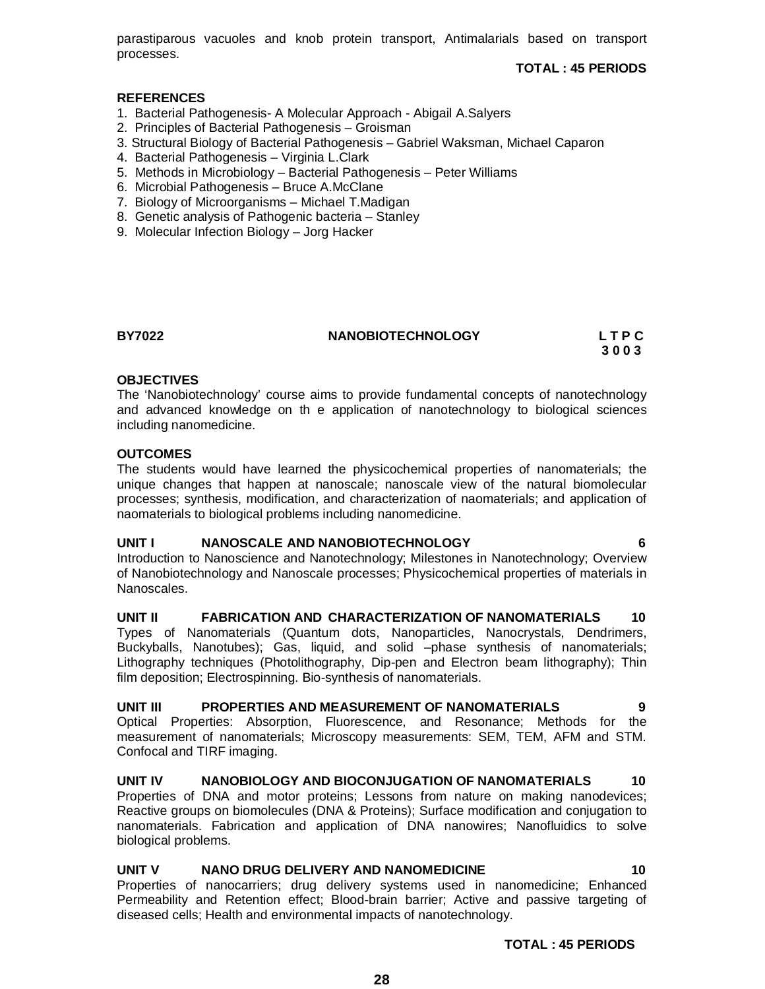parastiparous vacuoles and knob protein transport, Antimalarials based on transport processes.

**TOTAL : 45 PERIODS** 

### **REFERENCES**

- 1. Bacterial Pathogenesis- A Molecular Approach Abigail A.Salyers
- 2. Principles of Bacterial Pathogenesis Groisman
- 3. Structural Biology of Bacterial Pathogenesis Gabriel Waksman, Michael Caparon
- 4. Bacterial Pathogenesis Virginia L.Clark
- 5. Methods in Microbiology Bacterial Pathogenesis Peter Williams
- 6. Microbial Pathogenesis Bruce A.McClane
- 7. Biology of Microorganisms Michael T.Madigan
- 8. Genetic analysis of Pathogenic bacteria Stanley
- 9. Molecular Infection Biology Jorg Hacker

### **BY7022 NANOBIOTECHNOLOGY L T P C**

 **3 0 0 3**

### **OBJECTIVES**

The 'Nanobiotechnology' course aims to provide fundamental concepts of nanotechnology and advanced knowledge on th e application of nanotechnology to biological sciences including nanomedicine.

### **OUTCOMES**

The students would have learned the physicochemical properties of nanomaterials; the unique changes that happen at nanoscale; nanoscale view of the natural biomolecular processes; synthesis, modification, and characterization of naomaterials; and application of naomaterials to biological problems including nanomedicine.

### **UNIT I NANOSCALE AND NANOBIOTECHNOLOGY 6**

Introduction to Nanoscience and Nanotechnology; Milestones in Nanotechnology; Overview of Nanobiotechnology and Nanoscale processes; Physicochemical properties of materials in Nanoscales.

**UNIT II FABRICATION AND CHARACTERIZATION OF NANOMATERIALS 10** Types of Nanomaterials (Quantum dots, Nanoparticles, Nanocrystals, Dendrimers, Buckyballs, Nanotubes); Gas, liquid, and solid –phase synthesis of nanomaterials; Lithography techniques (Photolithography, Dip-pen and Electron beam lithography); Thin film deposition; Electrospinning. Bio-synthesis of nanomaterials.

### **UNIT III PROPERTIES AND MEASUREMENT OF NANOMATERIALS 9**

Optical Properties: Absorption, Fluorescence, and Resonance; Methods for the measurement of nanomaterials; Microscopy measurements: SEM, TEM, AFM and STM. Confocal and TIRF imaging.

# **UNIT IV NANOBIOLOGY AND BIOCONJUGATION OF NANOMATERIALS 10** Properties of DNA and motor proteins; Lessons from nature on making nanodevices;

Reactive groups on biomolecules (DNA & Proteins); Surface modification and conjugation to nanomaterials. Fabrication and application of DNA nanowires; Nanofluidics to solve biological problems.

### **UNIT V NANO DRUG DELIVERY AND NANOMEDICINE 10**

Properties of nanocarriers; drug delivery systems used in nanomedicine; Enhanced Permeability and Retention effect; Blood-brain barrier; Active and passive targeting of diseased cells; Health and environmental impacts of nanotechnology.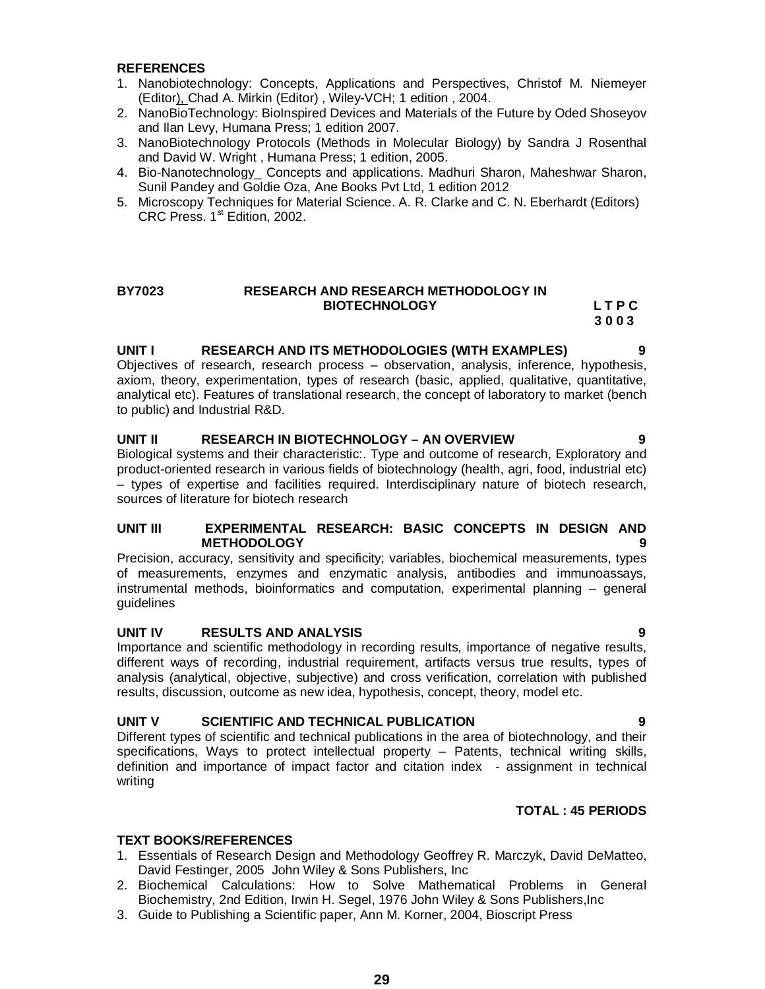### **REFERENCES**

- 1. Nanobiotechnology: Concepts, Applications and Perspectives, Christof M. Niemeyer (Editor), Chad A. Mirkin (Editor) , Wiley-VCH; 1 edition , 2004.
- 2. NanoBioTechnology: BioInspired Devices and Materials of the Future by Oded Shoseyov and Ilan Levy, Humana Press; 1 edition 2007.
- 3. NanoBiotechnology Protocols (Methods in Molecular Biology) by Sandra J Rosenthal and David W. Wright , Humana Press; 1 edition, 2005.
- 4. Bio-Nanotechnology\_ Concepts and applications. Madhuri Sharon, Maheshwar Sharon, Sunil Pandey and Goldie Oza, Ane Books Pvt Ltd, 1 edition 2012
- 5. Microscopy Techniques for Material Science. A. R. Clarke and C. N. Eberhardt (Editors) CRC Press.  $1<sup>st</sup>$  Edition, 2002.

### **BY7023 RESEARCH AND RESEARCH METHODOLOGY IN**  BIOTECHNOLOGY LTPC

**3 0 0 3**

### **UNIT I RESEARCH AND ITS METHODOLOGIES (WITH EXAMPLES) 9**

Objectives of research, research process – observation, analysis, inference, hypothesis, axiom, theory, experimentation, types of research (basic, applied, qualitative, quantitative, analytical etc). Features of translational research, the concept of laboratory to market (bench to public) and Industrial R&D.

### **UNIT II RESEARCH IN BIOTECHNOLOGY – AN OVERVIEW 9**

Biological systems and their characteristic:. Type and outcome of research, Exploratory and product-oriented research in various fields of biotechnology (health, agri, food, industrial etc) – types of expertise and facilities required. Interdisciplinary nature of biotech research, sources of literature for biotech research

### **UNIT III EXPERIMENTAL RESEARCH: BASIC CONCEPTS IN DESIGN AND METHODOLOGY 9**

Precision, accuracy, sensitivity and specificity; variables, biochemical measurements, types of measurements, enzymes and enzymatic analysis, antibodies and immunoassays, instrumental methods, bioinformatics and computation, experimental planning – general guidelines

### **UNIT IV RESULTS AND ANALYSIS 9**

Importance and scientific methodology in recording results, importance of negative results, different ways of recording, industrial requirement, artifacts versus true results, types of analysis (analytical, objective, subjective) and cross verification, correlation with published results, discussion, outcome as new idea, hypothesis, concept, theory, model etc.

### **UNIT V SCIENTIFIC AND TECHNICAL PUBLICATION 9**

Different types of scientific and technical publications in the area of biotechnology, and their specifications, Ways to protect intellectual property – Patents, technical writing skills, definition and importance of impact factor and citation index - assignment in technical writing

### **TOTAL : 45 PERIODS**

### **TEXT BOOKS/REFERENCES**

- 1. Essentials of Research Design and Methodology Geoffrey R. Marczyk, David DeMatteo, David Festinger, 2005 John Wiley & Sons Publishers, Inc
- 2. Biochemical Calculations: How to Solve Mathematical Problems in General Biochemistry, 2nd Edition, Irwin H. Segel, 1976 John Wiley & Sons Publishers,Inc
- 3. Guide to Publishing a Scientific paper, Ann M. Korner, 2004, Bioscript Press